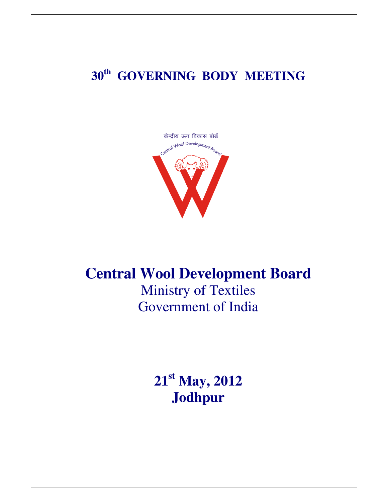## **30th GOVERNING BODY MEETING**



### **Central Wool Development Board**

Ministry of Textiles Government of India

> **21st May, 2012 Jodhpur**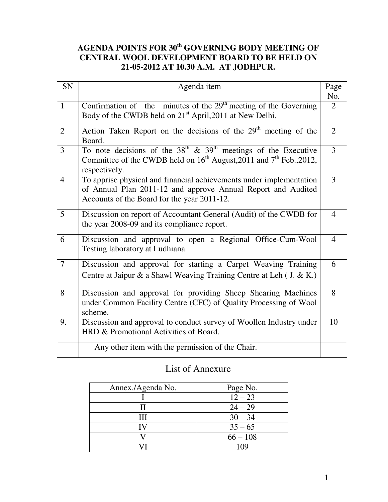#### **AGENDA POINTS FOR 30th GOVERNING BODY MEETING OF CENTRAL WOOL DEVELOPMENT BOARD TO BE HELD ON 21-05-2012 AT 10.30 A.M. AT JODHPUR.**

| SN             | Agenda item                                                                                                                                                          | Page           |
|----------------|----------------------------------------------------------------------------------------------------------------------------------------------------------------------|----------------|
|                |                                                                                                                                                                      | No.            |
| $\mathbf{1}$   | Confirmation of the minutes of the $29th$ meeting of the Governing                                                                                                   | 2              |
|                | Body of the CWDB held on 21 <sup>st</sup> April, 2011 at New Delhi.                                                                                                  |                |
| $\overline{2}$ | Action Taken Report on the decisions of the $29th$ meeting of the<br>Board.                                                                                          | $\overline{2}$ |
| 3              | To note decisions of the $38th$ & $39th$ meetings of the Executive<br>Committee of the CWDB held on $16^{th}$ August, 2011 and $7^{th}$ Feb., 2012,<br>respectively. | $\overline{3}$ |
| $\overline{4}$ | To apprise physical and financial achievements under implementation                                                                                                  | 3              |
|                | of Annual Plan 2011-12 and approve Annual Report and Audited<br>Accounts of the Board for the year 2011-12.                                                          |                |
|                |                                                                                                                                                                      |                |
| 5              | Discussion on report of Accountant General (Audit) of the CWDB for                                                                                                   | $\overline{4}$ |
|                | the year 2008-09 and its compliance report.                                                                                                                          |                |
| 6              | Discussion and approval to open a Regional Office-Cum-Wool<br>Testing laboratory at Ludhiana.                                                                        | 4              |
|                |                                                                                                                                                                      |                |
| 7              | Discussion and approval for starting a Carpet Weaving Training                                                                                                       | 6              |
|                | Centre at Jaipur & a Shawl Weaving Training Centre at Leh (J. & K.)                                                                                                  |                |
| 8              | Discussion and approval for providing Sheep Shearing Machines<br>under Common Facility Centre (CFC) of Quality Processing of Wool                                    | 8              |
|                | scheme.                                                                                                                                                              |                |
| 9.             | Discussion and approval to conduct survey of Woollen Industry under                                                                                                  | 10             |
|                | HRD & Promotional Activities of Board.                                                                                                                               |                |
|                | Any other item with the permission of the Chair.                                                                                                                     |                |

#### List of Annexure

| Annex./Agenda No. | Page No.   |
|-------------------|------------|
|                   | $12 - 23$  |
|                   | $24 - 29$  |
| Ш                 | $30 - 34$  |
|                   | $35 - 65$  |
|                   | $66 - 108$ |
|                   |            |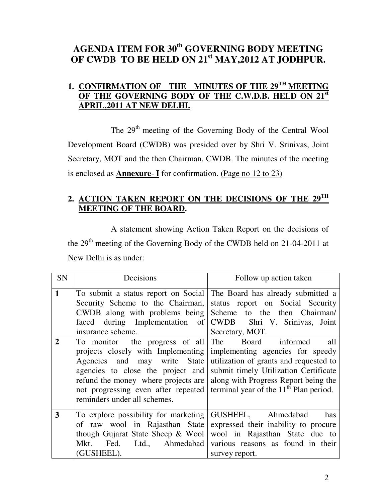#### **AGENDA ITEM FOR 30th GOVERNING BODY MEETING OF CWDB TO BE HELD ON 21st MAY,2012 AT JODHPUR.**

#### **1. CONFIRMATION OF THE MINUTES OF THE 29TH MEETING OF THE GOVERNING BODY OF THE C.W.D.B. HELD ON 21st APRIL,2011 AT NEW DELHI.**

The 29<sup>th</sup> meeting of the Governing Body of the Central Wool Development Board (CWDB) was presided over by Shri V. Srinivas, Joint Secretary, MOT and the then Chairman, CWDB. The minutes of the meeting is enclosed as **Annexure**- **I** for confirmation. (Page no 12 to 23)

#### **2. ACTION TAKEN REPORT ON THE DECISIONS OF THE 29TH MEETING OF THE BOARD.**

 A statement showing Action Taken Report on the decisions of the 29<sup>th</sup> meeting of the Governing Body of the CWDB held on 21-04-2011 at New Delhi is as under:

| SN             | Decisions                                                                                                                                                                                                                                               | Follow up action taken                                                                                                                                                                                                               |
|----------------|---------------------------------------------------------------------------------------------------------------------------------------------------------------------------------------------------------------------------------------------------------|--------------------------------------------------------------------------------------------------------------------------------------------------------------------------------------------------------------------------------------|
| $\mathbf{1}$   | To submit a status report on Social The Board has already submitted a<br>Security Scheme to the Chairman,<br>CWDB along with problems being Scheme to the then Chairman/<br>faced during Implementation of<br>insurance scheme.                         | status report on Social Security<br>CWDB Shri V. Srinivas, Joint<br>Secretary, MOT.                                                                                                                                                  |
| $\overline{2}$ | To monitor the progress of all<br>projects closely with Implementing<br>Agencies and may write State<br>agencies to close the project and<br>refund the money where projects are<br>not progressing even after repeated<br>reminders under all schemes. | The Board informed<br>all<br>implementing agencies for speedy<br>utilization of grants and requested to<br>submit timely Utilization Certificate<br>along with Progress Report being the<br>terminal year of the $11th$ Plan period. |
| 3              | To explore possibility for marketing<br>of raw wool in Rajasthan State<br>though Gujarat State Sheep $&$ Wool<br>Fed. Ltd., Ahmedabad<br>Mkt.<br>(GUSHEEL).                                                                                             | GUSHEEL, Ahmedabad<br>has<br>expressed their inability to procure<br>wool in Rajasthan State due to<br>various reasons as found in their<br>survey report.                                                                           |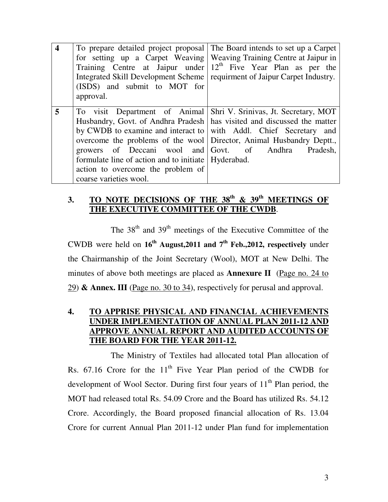| $\overline{\mathbf{4}}$ | To prepare detailed project proposal The Board intends to set up a Carpet<br>for setting up a Carpet Weaving   Weaving Training Centre at Jaipur in<br>Training Centre at Jaipur under $12th$ Five Year Plan as per the<br>Integrated Skill Development Scheme   requirment of Jaipur Carpet Industry.<br>(ISDS) and submit to MOT for                                                                                                                                |          |
|-------------------------|-----------------------------------------------------------------------------------------------------------------------------------------------------------------------------------------------------------------------------------------------------------------------------------------------------------------------------------------------------------------------------------------------------------------------------------------------------------------------|----------|
|                         | approval.                                                                                                                                                                                                                                                                                                                                                                                                                                                             |          |
| 5                       | To visit Department of Animal   Shri V. Srinivas, Jt. Secretary, MOT<br>Husbandry, Govt. of Andhra Pradesh   has visited and discussed the matter<br>by CWDB to examine and interact to with Addl. Chief Secretary and<br>overcome the problems of the wool Director, Animal Husbandry Deptt.,<br>growers of Deccani wool and Govt. of Andhra<br>formulate line of action and to initiate   Hyderabad.<br>action to overcome the problem of<br>coarse varieties wool. | Pradesh, |

#### **3. TO NOTE DECISIONS OF THE 38th & 39th MEETINGS OF THE EXECUTIVE COMMITTEE OF THE CWDB**.

The  $38<sup>th</sup>$  and  $39<sup>th</sup>$  meetings of the Executive Committee of the CWDB were held on **16th August,2011 and 7th Feb.,2012, respectively** under the Chairmanship of the Joint Secretary (Wool), MOT at New Delhi. The minutes of above both meetings are placed as **Annexure II** (Page no. 24 to 29) **& Annex. III** (Page no. 30 to 34), respectively for perusal and approval.

#### **4. TO APPRISE PHYSICAL AND FINANCIAL ACHIEVEMENTS UNDER IMPLEMENTATION OF ANNUAL PLAN 2011-12 AND APPROVE ANNUAL REPORT AND AUDITED ACCOUNTS OF THE BOARD FOR THE YEAR 2011-12.**

 The Ministry of Textiles had allocated total Plan allocation of Rs.  $67.16$  Crore for the  $11<sup>th</sup>$  Five Year Plan period of the CWDB for development of Wool Sector. During first four years of  $11<sup>th</sup>$  Plan period, the MOT had released total Rs. 54.09 Crore and the Board has utilized Rs. 54.12 Crore. Accordingly, the Board proposed financial allocation of Rs. 13.04 Crore for current Annual Plan 2011-12 under Plan fund for implementation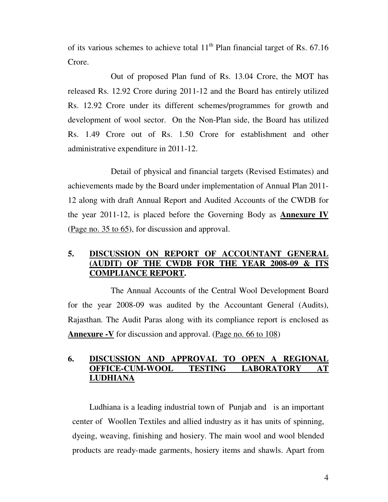of its various schemes to achieve total  $11<sup>th</sup>$  Plan financial target of Rs. 67.16 Crore.

 Out of proposed Plan fund of Rs. 13.04 Crore, the MOT has released Rs. 12.92 Crore during 2011-12 and the Board has entirely utilized Rs. 12.92 Crore under its different schemes/programmes for growth and development of wool sector. On the Non-Plan side, the Board has utilized Rs. 1.49 Crore out of Rs. 1.50 Crore for establishment and other administrative expenditure in 2011-12.

 Detail of physical and financial targets (Revised Estimates) and achievements made by the Board under implementation of Annual Plan 2011- 12 along with draft Annual Report and Audited Accounts of the CWDB for the year 2011-12, is placed before the Governing Body as **Annexure IV** (Page no. 35 to 65), for discussion and approval.

#### **5. DISCUSSION ON REPORT OF ACCOUNTANT GENERAL (AUDIT) OF THE CWDB FOR THE YEAR 2008-09 & ITS COMPLIANCE REPORT.**

 The Annual Accounts of the Central Wool Development Board for the year 2008-09 was audited by the Accountant General (Audits), Rajasthan. The Audit Paras along with its compliance report is enclosed as **Annexure -V** for discussion and approval. (Page no. 66 to 108)

#### **6. DISCUSSION AND APPROVAL TO OPEN A REGIONAL OFFICE-CUM-WOOL TESTING LABORATORY AT LUDHIANA**

 Ludhiana is a leading industrial town of Punjab and is an important center of Woollen Textiles and allied industry as it has units of spinning, dyeing, weaving, finishing and hosiery. The main wool and wool blended products are ready-made garments, hosiery items and shawls. Apart from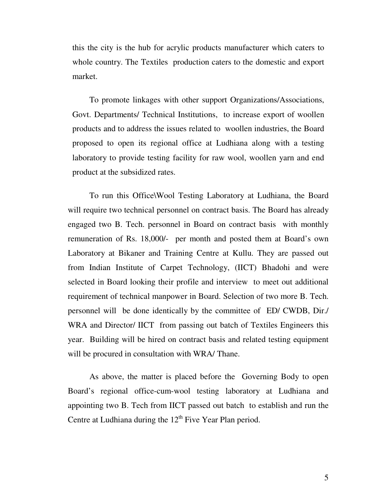this the city is the hub for acrylic products manufacturer which caters to whole country. The Textiles production caters to the domestic and export market.

 To promote linkages with other support Organizations/Associations, Govt. Departments/ Technical Institutions, to increase export of woollen products and to address the issues related to woollen industries, the Board proposed to open its regional office at Ludhiana along with a testing laboratory to provide testing facility for raw wool, woollen yarn and end product at the subsidized rates.

 To run this Office\Wool Testing Laboratory at Ludhiana, the Board will require two technical personnel on contract basis. The Board has already engaged two B. Tech. personnel in Board on contract basis with monthly remuneration of Rs. 18,000/- per month and posted them at Board's own Laboratory at Bikaner and Training Centre at Kullu. They are passed out from Indian Institute of Carpet Technology, (IICT) Bhadohi and were selected in Board looking their profile and interview to meet out additional requirement of technical manpower in Board. Selection of two more B. Tech. personnel will be done identically by the committee of ED/ CWDB, Dir./ WRA and Director/ IICT from passing out batch of Textiles Engineers this year. Building will be hired on contract basis and related testing equipment will be procured in consultation with WRA/ Thane.

As above, the matter is placed before the Governing Body to open Board's regional office-cum-wool testing laboratory at Ludhiana and appointing two B. Tech from IICT passed out batch to establish and run the Centre at Ludhiana during the  $12<sup>th</sup>$  Five Year Plan period.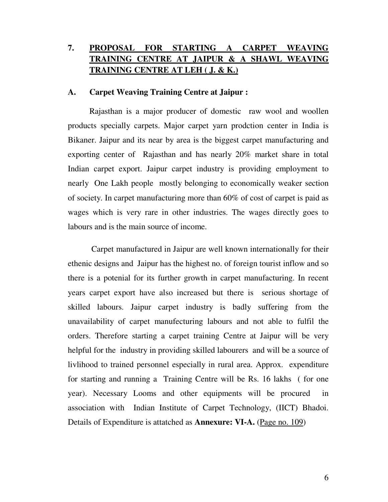#### **7. PROPOSAL FOR STARTING A CARPET WEAVING TRAINING CENTRE AT JAIPUR & A SHAWL WEAVING TRAINING CENTRE AT LEH ( J. & K.)**

#### **A. Carpet Weaving Training Centre at Jaipur :**

Rajasthan is a major producer of domestic raw wool and woollen products specially carpets. Major carpet yarn prodction center in India is Bikaner. Jaipur and its near by area is the biggest carpet manufacturing and exporting center of Rajasthan and has nearly 20% market share in total Indian carpet export. Jaipur carpet industry is providing employment to nearly One Lakh people mostly belonging to economically weaker section of society. In carpet manufacturing more than 60% of cost of carpet is paid as wages which is very rare in other industries. The wages directly goes to labours and is the main source of income.

 Carpet manufactured in Jaipur are well known internationally for their ethenic designs and Jaipur has the highest no. of foreign tourist inflow and so there is a potenial for its further growth in carpet manufacturing. In recent years carpet export have also increased but there is serious shortage of skilled labours. Jaipur carpet industry is badly suffering from the unavailability of carpet manufecturing labours and not able to fulfil the orders. Therefore starting a carpet training Centre at Jaipur will be very helpful for the industry in providing skilled labourers and will be a source of livlihood to trained personnel especially in rural area. Approx. expenditure for starting and running a Training Centre will be Rs. 16 lakhs ( for one year). Necessary Looms and other equipments will be procured in association with Indian Institute of Carpet Technology, (IICT) Bhadoi. Details of Expenditure is attatched as **Annexure: VI-A.** (Page no. 109)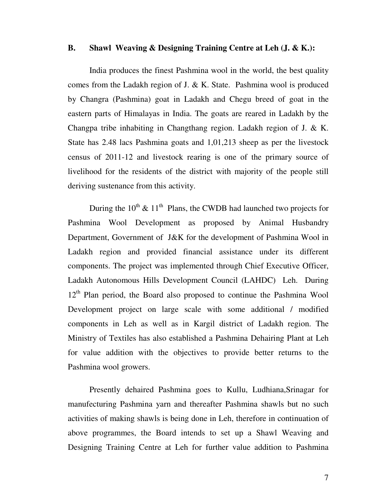#### **B. Shawl Weaving & Designing Training Centre at Leh (J. & K.):**

India produces the finest Pashmina wool in the world, the best quality comes from the Ladakh region of J. & K. State. Pashmina wool is produced by Changra (Pashmina) goat in Ladakh and Chegu breed of goat in the eastern parts of Himalayas in India. The goats are reared in Ladakh by the Changpa tribe inhabiting in Changthang region. Ladakh region of J. & K. State has 2.48 lacs Pashmina goats and 1,01,213 sheep as per the livestock census of 2011-12 and livestock rearing is one of the primary source of livelihood for the residents of the district with majority of the people still deriving sustenance from this activity.

During the  $10^{th}$  &  $11^{th}$  Plans, the CWDB had launched two projects for Pashmina Wool Development as proposed by Animal Husbandry Department, Government of J&K for the development of Pashmina Wool in Ladakh region and provided financial assistance under its different components. The project was implemented through Chief Executive Officer, Ladakh Autonomous Hills Development Council (LAHDC) Leh. During 12<sup>th</sup> Plan period, the Board also proposed to continue the Pashmina Wool Development project on large scale with some additional / modified components in Leh as well as in Kargil district of Ladakh region. The Ministry of Textiles has also established a Pashmina Dehairing Plant at Leh for value addition with the objectives to provide better returns to the Pashmina wool growers.

 Presently dehaired Pashmina goes to Kullu, Ludhiana,Srinagar for manufecturing Pashmina yarn and thereafter Pashmina shawls but no such activities of making shawls is being done in Leh, therefore in continuation of above programmes, the Board intends to set up a Shawl Weaving and Designing Training Centre at Leh for further value addition to Pashmina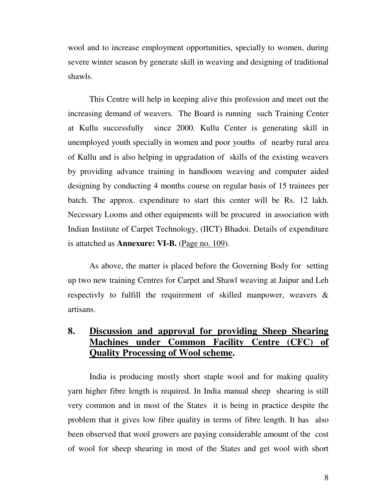wool and to increase employment opportunities, specially to women, during severe winter season by generate skill in weaving and designing of traditional shawls.

This Centre will help in keeping alive this profession and meet out the increasing demand of weavers. The Board is running such Training Center at Kullu successfully since 2000. Kullu Center is generating skill in unemployed youth specially in women and poor youths of nearby rural area of Kullu and is also helping in upgradation of skills of the existing weavers by providing advance training in handloom weaving and computer aided designing by conducting 4 months course on regular basis of 15 trainees per batch. The approx. expenditure to start this center will be Rs. 12 lakh. Necessary Looms and other equipments will be procured in association with Indian Institute of Carpet Technology, (IICT) Bhadoi. Details of expenditure is attatched as **Annexure: VI-B.** (Page no. 109).

As above, the matter is placed before the Governing Body for setting up two new training Centres for Carpet and Shawl weaving at Jaipur and Leh respectivly to fulfill the requirement of skilled manpower, weavers & artisans.

#### **8. Discussion and approval for providing Sheep Shearing Machines under Common Facility Centre (CFC) of Quality Processing of Wool scheme.**

 India is producing mostly short staple wool and for making quality yarn higher fibre length is required. In India manual sheep shearing is still very common and in most of the States it is being in practice despite the problem that it gives low fibre quality in terms of fibre length. It has also been observed that wool growers are paying considerable amount of the cost of wool for sheep shearing in most of the States and get wool with short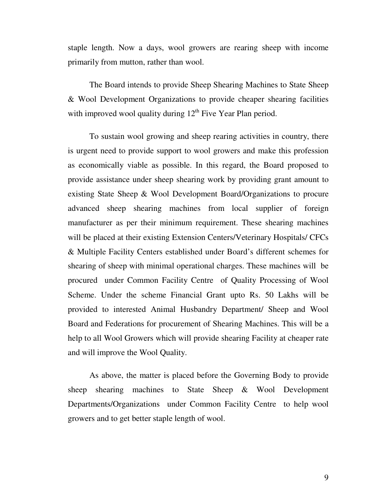staple length. Now a days, wool growers are rearing sheep with income primarily from mutton, rather than wool.

The Board intends to provide Sheep Shearing Machines to State Sheep & Wool Development Organizations to provide cheaper shearing facilities with improved wool quality during  $12<sup>th</sup>$  Five Year Plan period.

 To sustain wool growing and sheep rearing activities in country, there is urgent need to provide support to wool growers and make this profession as economically viable as possible. In this regard, the Board proposed to provide assistance under sheep shearing work by providing grant amount to existing State Sheep & Wool Development Board/Organizations to procure advanced sheep shearing machines from local supplier of foreign manufacturer as per their minimum requirement. These shearing machines will be placed at their existing Extension Centers/Veterinary Hospitals/ CFCs & Multiple Facility Centers established under Board's different schemes for shearing of sheep with minimal operational charges. These machines will be procured under Common Facility Centre of Quality Processing of Wool Scheme. Under the scheme Financial Grant upto Rs. 50 Lakhs will be provided to interested Animal Husbandry Department/ Sheep and Wool Board and Federations for procurement of Shearing Machines. This will be a help to all Wool Growers which will provide shearing Facility at cheaper rate and will improve the Wool Quality.

 As above, the matter is placed before the Governing Body to provide sheep shearing machines to State Sheep & Wool Development Departments/Organizations under Common Facility Centre to help wool growers and to get better staple length of wool.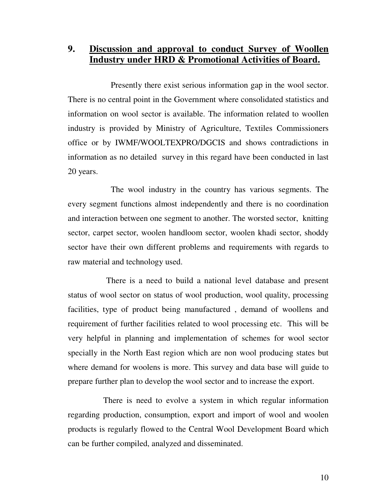**9. Discussion and approval to conduct Survey of Woollen Industry under HRD & Promotional Activities of Board.** 

 Presently there exist serious information gap in the wool sector. There is no central point in the Government where consolidated statistics and information on wool sector is available. The information related to woollen industry is provided by Ministry of Agriculture, Textiles Commissioners office or by IWMF/WOOLTEXPRO/DGCIS and shows contradictions in information as no detailed survey in this regard have been conducted in last 20 years.

 The wool industry in the country has various segments. The every segment functions almost independently and there is no coordination and interaction between one segment to another. The worsted sector, knitting sector, carpet sector, woolen handloom sector, woolen khadi sector, shoddy sector have their own different problems and requirements with regards to raw material and technology used.

 There is a need to build a national level database and present status of wool sector on status of wool production, wool quality, processing facilities, type of product being manufactured , demand of woollens and requirement of further facilities related to wool processing etc. This will be very helpful in planning and implementation of schemes for wool sector specially in the North East region which are non wool producing states but where demand for woolens is more. This survey and data base will guide to prepare further plan to develop the wool sector and to increase the export.

 There is need to evolve a system in which regular information regarding production, consumption, export and import of wool and woolen products is regularly flowed to the Central Wool Development Board which can be further compiled, analyzed and disseminated.

10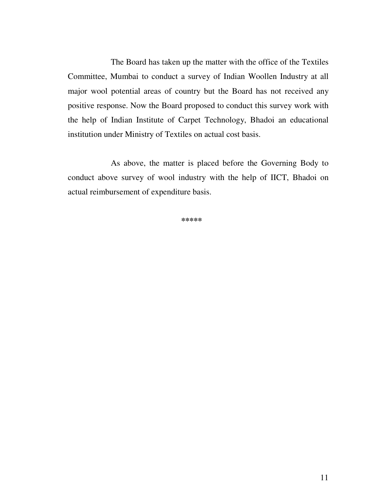The Board has taken up the matter with the office of the Textiles Committee, Mumbai to conduct a survey of Indian Woollen Industry at all major wool potential areas of country but the Board has not received any positive response. Now the Board proposed to conduct this survey work with the help of Indian Institute of Carpet Technology, Bhadoi an educational institution under Ministry of Textiles on actual cost basis.

 As above, the matter is placed before the Governing Body to conduct above survey of wool industry with the help of IICT, Bhadoi on actual reimbursement of expenditure basis.

**\*\*\*\*\***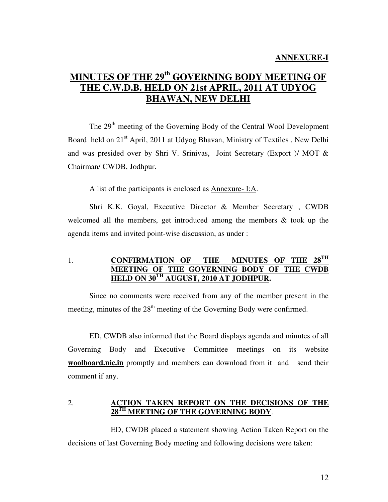#### **MINUTES OF THE 29th GOVERNING BODY MEETING OF THE C.W.D.B. HELD ON 21st APRIL, 2011 AT UDYOG BHAWAN, NEW DELHI**

The 29<sup>th</sup> meeting of the Governing Body of the Central Wool Development Board held on 21<sup>st</sup> April, 2011 at Udyog Bhavan, Ministry of Textiles, New Delhi and was presided over by Shri V. Srinivas, Joint Secretary (Export )/ MOT & Chairman/ CWDB, Jodhpur.

A list of the participants is enclosed as Annexure- I:A.

Shri K.K. Goyal, Executive Director & Member Secretary , CWDB welcomed all the members, get introduced among the members & took up the agenda items and invited point-wise discussion, as under :

1. **CONFIRMATION OF THE MINUTES OF THE MEETING OF THE GOVERNING BODY OF THE CWDB HELD ON 30TH AUGUST, 2010 AT JODHPUR.** 

 Since no comments were received from any of the member present in the meeting, minutes of the  $28<sup>th</sup>$  meeting of the Governing Body were confirmed.

 ED, CWDB also informed that the Board displays agenda and minutes of all Governing Body and Executive Committee meetings on its website **woolboard.nic.in** promptly and members can download from it and send their comment if any.

#### 2. **ACTION TAKEN REPORT ON THE DECISIONS OF THE 28TH MEETING OF THE GOVERNING BODY**.

 ED, CWDB placed a statement showing Action Taken Report on the decisions of last Governing Body meeting and following decisions were taken: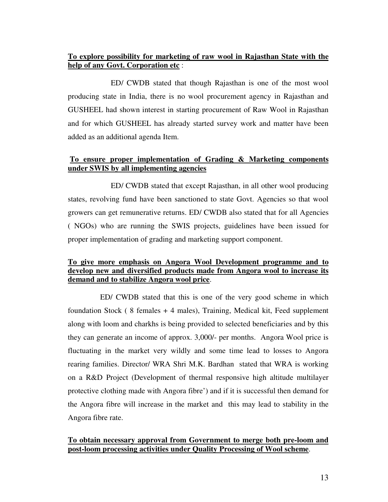#### **To explore possibility for marketing of raw wool in Rajasthan State with the help of any Govt. Corporation etc** :

 ED/ CWDB stated that though Rajasthan is one of the most wool producing state in India, there is no wool procurement agency in Rajasthan and GUSHEEL had shown interest in starting procurement of Raw Wool in Rajasthan and for which GUSHEEL has already started survey work and matter have been added as an additional agenda Item.

#### **To ensure proper implementation of Grading & Marketing components under SWIS by all implementing agencies**

 ED/ CWDB stated that except Rajasthan, in all other wool producing states, revolving fund have been sanctioned to state Govt. Agencies so that wool growers can get remunerative returns. ED/ CWDB also stated that for all Agencies ( NGOs) who are running the SWIS projects, guidelines have been issued for proper implementation of grading and marketing support component.

#### **To give more emphasis on Angora Wool Development programme and to develop new and diversified products made from Angora wool to increase its demand and to stabilize Angora wool price**.

ED/ CWDB stated that this is one of the very good scheme in which foundation Stock ( $8$  females  $+4$  males), Training, Medical kit, Feed supplement along with loom and charkhs is being provided to selected beneficiaries and by this they can generate an income of approx. 3,000/- per months. Angora Wool price is fluctuating in the market very wildly and some time lead to losses to Angora rearing families. Director/ WRA Shri M.K. Bardhan stated that WRA is working on a R&D Project (Development of thermal responsive high altitude multilayer protective clothing made with Angora fibre') and if it is successful then demand for the Angora fibre will increase in the market and this may lead to stability in the Angora fibre rate.

#### **To obtain necessary approval from Government to merge both pre-loom and post-loom processing activities under Quality Processing of Wool scheme**.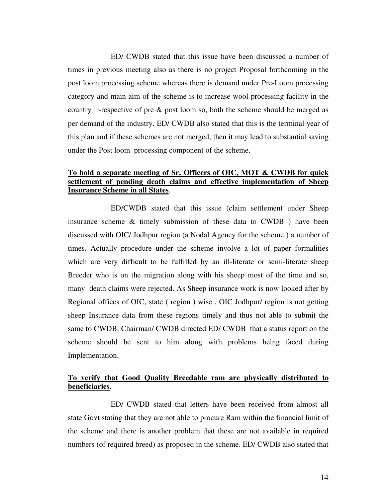ED/ CWDB stated that this issue have been discussed a number of times in previous meeting also as there is no project Proposal forthcoming in the post loom processing scheme whereas there is demand under Pre-Loom processing category and main aim of the scheme is to increase wool processing facility in the country ir-respective of pre & post loom so, both the scheme should be merged as per demand of the industry. ED/ CWDB also stated that this is the terminal year of this plan and if these schemes are not merged, then it may lead to substantial saving under the Post loom processing component of the scheme.

#### **To hold a separate meeting of Sr. Officers of OIC, MOT & CWDB for quick settlement of pending death claims and effective implementation of Sheep Insurance Scheme in all States**.

 ED/CWDB stated that this issue (claim settlement under Sheep insurance scheme & timely submission of these data to CWDB ) have been discussed with OIC/ Jodhpur region (a Nodal Agency for the scheme ) a number of times. Actually procedure under the scheme involve a lot of paper formalities which are very difficult to be fulfilled by an ill-literate or semi-literate sheep Breeder who is on the migration along with his sheep most of the time and so, many death claims were rejected. As Sheep insurance work is now looked after by Regional offices of OIC, state ( region ) wise , OIC Jodhpur/ region is not getting sheep Insurance data from these regions timely and thus not able to submit the same to CWDB. Chairman/ CWDB directed ED/ CWDB that a status report on the scheme should be sent to him along with problems being faced during Implementation.

#### **To verify that Good Quality Breedable ram are physically distributed to beneficiaries**.

 ED/ CWDB stated that letters have been received from almost all state Govt stating that they are not able to procure Ram within the financial limit of the scheme and there is another problem that these are not available in required numbers (of required breed) as proposed in the scheme. ED/ CWDB also stated that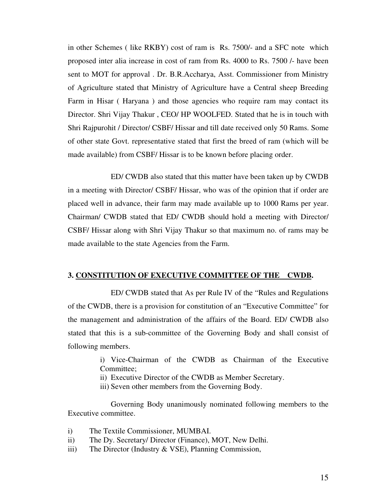in other Schemes ( like RKBY) cost of ram is Rs. 7500/- and a SFC note which proposed inter alia increase in cost of ram from Rs. 4000 to Rs. 7500 /- have been sent to MOT for approval . Dr. B.R.Accharya, Asst. Commissioner from Ministry of Agriculture stated that Ministry of Agriculture have a Central sheep Breeding Farm in Hisar ( Haryana ) and those agencies who require ram may contact its Director. Shri Vijay Thakur , CEO/ HP WOOLFED. Stated that he is in touch with Shri Rajpurohit / Director/ CSBF/ Hissar and till date received only 50 Rams. Some of other state Govt. representative stated that first the breed of ram (which will be made available) from CSBF/ Hissar is to be known before placing order.

ED/ CWDB also stated that this matter have been taken up by CWDB in a meeting with Director/ CSBF/ Hissar, who was of the opinion that if order are placed well in advance, their farm may made available up to 1000 Rams per year. Chairman/ CWDB stated that ED/ CWDB should hold a meeting with Director/ CSBF/ Hissar along with Shri Vijay Thakur so that maximum no. of rams may be made available to the state Agencies from the Farm.

#### **3. CONSTITUTION OF EXECUTIVE COMMITTEE OF THE CWDB.**

 ED/ CWDB stated that As per Rule IV of the "Rules and Regulations of the CWDB, there is a provision for constitution of an "Executive Committee" for the management and administration of the affairs of the Board. ED/ CWDB also stated that this is a sub-committee of the Governing Body and shall consist of following members.

> i) Vice-Chairman of the CWDB as Chairman of the Executive Committee;

ii) Executive Director of the CWDB as Member Secretary.

iii) Seven other members from the Governing Body.

 Governing Body unanimously nominated following members to the Executive committee.

- i) The Textile Commissioner, MUMBAI.
- ii) The Dy. Secretary/ Director (Finance), MOT, New Delhi.
- iii) The Director (Industry & VSE), Planning Commission,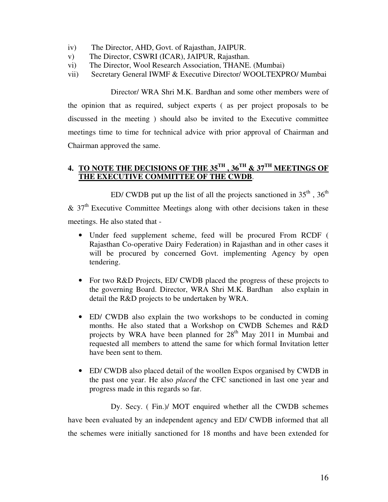- iv) The Director, AHD, Govt. of Rajasthan, JAIPUR.
- v) The Director, CSWRI (ICAR), JAIPUR, Rajasthan.
- vi) The Director, Wool Research Association, THANE. (Mumbai)
- vii) Secretary General IWMF & Executive Director/ WOOLTEXPRO/ Mumbai

 Director/ WRA Shri M.K. Bardhan and some other members were of the opinion that as required, subject experts ( as per project proposals to be discussed in the meeting ) should also be invited to the Executive committee meetings time to time for technical advice with prior approval of Chairman and Chairman approved the same.

#### **4. TO NOTE THE DECISIONS OF THE 35TH , 36TH & 37TH MEETINGS OF THE EXECUTIVE COMMITTEE OF THE CWDB**.

ED/ CWDB put up the list of all the projects sanctioned in  $35<sup>th</sup>$ ,  $36<sup>th</sup>$  $& 37<sup>th</sup>$  Executive Committee Meetings along with other decisions taken in these meetings. He also stated that -

- Under feed supplement scheme, feed will be procured From RCDF ( Rajasthan Co-operative Dairy Federation) in Rajasthan and in other cases it will be procured by concerned Govt. implementing Agency by open tendering.
- For two R&D Projects, ED/ CWDB placed the progress of these projects to the governing Board. Director, WRA Shri M.K. Bardhan also explain in detail the R&D projects to be undertaken by WRA.
- ED/ CWDB also explain the two workshops to be conducted in coming months. He also stated that a Workshop on CWDB Schemes and R&D projects by WRA have been planned for 28<sup>th</sup> May 2011 in Mumbai and requested all members to attend the same for which formal Invitation letter have been sent to them.
- ED/ CWDB also placed detail of the woollen Expos organised by CWDB in the past one year. He also *placed* the CFC sanctioned in last one year and progress made in this regards so far.

 Dy. Secy. ( Fin.)/ MOT enquired whether all the CWDB schemes have been evaluated by an independent agency and ED/ CWDB informed that all the schemes were initially sanctioned for 18 months and have been extended for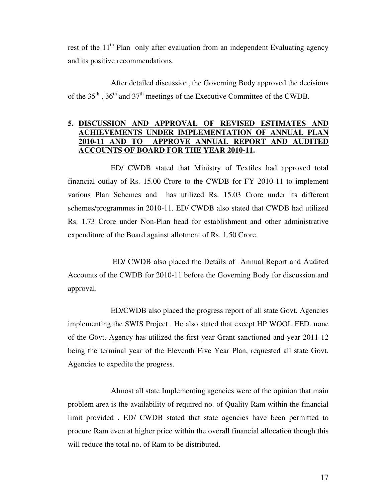rest of the  $11<sup>th</sup>$  Plan only after evaluation from an independent Evaluating agency and its positive recommendations.

After detailed discussion, the Governing Body approved the decisions of the 35th , 36th and 37th meetings of the Executive Committee of the CWDB*.* 

#### **5. DISCUSSION AND APPROVAL OF REVISED ESTIMATES AND ACHIEVEMENTS UNDER IMPLEMENTATION OF ANNUAL PLAN 2010-11 AND TO APPROVE ANNUAL REPORT AND AUDITED ACCOUNTS OF BOARD FOR THE YEAR 2010-11.**

 ED/ CWDB stated that Ministry of Textiles had approved total financial outlay of Rs. 15.00 Crore to the CWDB for FY 2010-11 to implement various Plan Schemes and has utilized Rs. 15.03 Crore under its different schemes/programmes in 2010-11. ED/ CWDB also stated that CWDB had utilized Rs. 1.73 Crore under Non-Plan head for establishment and other administrative expenditure of the Board against allotment of Rs. 1.50 Crore.

 ED/ CWDB also placed the Details of Annual Report and Audited Accounts of the CWDB for 2010-11 before the Governing Body for discussion and approval.

 ED/CWDB also placed the progress report of all state Govt. Agencies implementing the SWIS Project . He also stated that except HP WOOL FED. none of the Govt. Agency has utilized the first year Grant sanctioned and year 2011-12 being the terminal year of the Eleventh Five Year Plan, requested all state Govt. Agencies to expedite the progress.

 Almost all state Implementing agencies were of the opinion that main problem area is the availability of required no. of Quality Ram within the financial limit provided . ED/ CWDB stated that state agencies have been permitted to procure Ram even at higher price within the overall financial allocation though this will reduce the total no. of Ram to be distributed.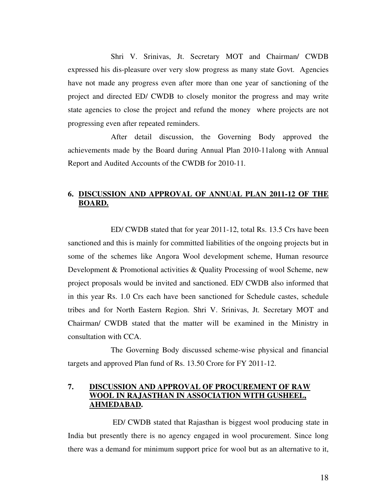Shri V. Srinivas, Jt. Secretary MOT and Chairman/ CWDB expressed his dis-pleasure over very slow progress as many state Govt. Agencies have not made any progress even after more than one year of sanctioning of the project and directed ED/ CWDB to closely monitor the progress and may write state agencies to close the project and refund the money where projects are not progressing even after repeated reminders.

After detail discussion, the Governing Body approved the achievements made by the Board during Annual Plan 2010-11along with Annual Report and Audited Accounts of the CWDB for 2010-11*.* 

#### **6. DISCUSSION AND APPROVAL OF ANNUAL PLAN 2011-12 OF THE BOARD.**

 ED/ CWDB stated that for year 2011-12, total Rs. 13.5 Crs have been sanctioned and this is mainly for committed liabilities of the ongoing projects but in some of the schemes like Angora Wool development scheme, Human resource Development & Promotional activities & Quality Processing of wool Scheme, new project proposals would be invited and sanctioned. ED/ CWDB also informed that in this year Rs. 1.0 Crs each have been sanctioned for Schedule castes, schedule tribes and for North Eastern Region. Shri V. Srinivas, Jt. Secretary MOT and Chairman/ CWDB stated that the matter will be examined in the Ministry in consultation with CCA.

The Governing Body discussed scheme-wise physical and financial targets and approved Plan fund of Rs. 13.50 Crore for FY 2011-12.

#### **7. DISCUSSION AND APPROVAL OF PROCUREMENT OF RAW WOOL IN RAJASTHAN IN ASSOCIATION WITH GUSHEEL, AHMEDABAD.**

 ED/ CWDB stated that Rajasthan is biggest wool producing state in India but presently there is no agency engaged in wool procurement. Since long there was a demand for minimum support price for wool but as an alternative to it,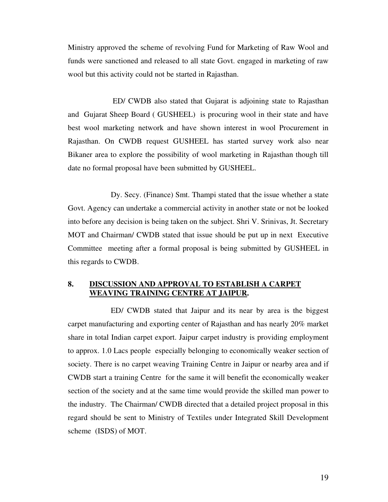Ministry approved the scheme of revolving Fund for Marketing of Raw Wool and funds were sanctioned and released to all state Govt. engaged in marketing of raw wool but this activity could not be started in Rajasthan.

 ED/ CWDB also stated that Gujarat is adjoining state to Rajasthan and Gujarat Sheep Board ( GUSHEEL) is procuring wool in their state and have best wool marketing network and have shown interest in wool Procurement in Rajasthan. On CWDB request GUSHEEL has started survey work also near Bikaner area to explore the possibility of wool marketing in Rajasthan though till date no formal proposal have been submitted by GUSHEEL.

 Dy. Secy. (Finance) Smt. Thampi stated that the issue whether a state Govt. Agency can undertake a commercial activity in another state or not be looked into before any decision is being taken on the subject. Shri V. Srinivas, Jt. Secretary MOT and Chairman/ CWDB stated that issue should be put up in next Executive Committee meeting after a formal proposal is being submitted by GUSHEEL in this regards to CWDB.

#### **8. DISCUSSION AND APPROVAL TO ESTABLISH A CARPET WEAVING TRAINING CENTRE AT JAIPUR.**

 ED/ CWDB stated that Jaipur and its near by area is the biggest carpet manufacturing and exporting center of Rajasthan and has nearly 20% market share in total Indian carpet export. Jaipur carpet industry is providing employment to approx. 1.0 Lacs people especially belonging to economically weaker section of society. There is no carpet weaving Training Centre in Jaipur or nearby area and if CWDB start a training Centre for the same it will benefit the economically weaker section of the society and at the same time would provide the skilled man power to the industry. The Chairman/ CWDB directed that a detailed project proposal in this regard should be sent to Ministry of Textiles under Integrated Skill Development scheme (ISDS) of MOT.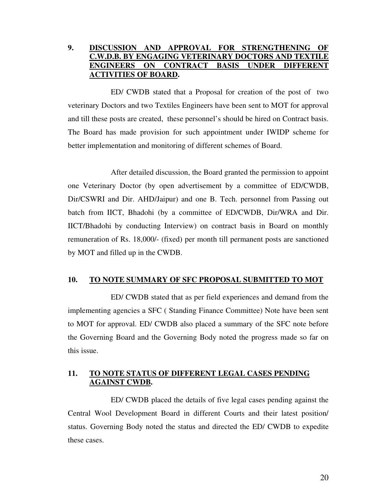#### **9. DISCUSSION AND APPROVAL FOR STRENGTHENING OF C.W.D.B. BY ENGAGING VETERINARY DOCTORS AND TEXT ENGINEERS ON CONTRACT BASIS UNDER DIFFERENT ACTIVITIES OF BOARD.**

 ED/ CWDB stated that a Proposal for creation of the post of two veterinary Doctors and two Textiles Engineers have been sent to MOT for approval and till these posts are created, these personnel's should be hired on Contract basis. The Board has made provision for such appointment under IWIDP scheme for better implementation and monitoring of different schemes of Board.

 After detailed discussion, the Board granted the permission to appoint one Veterinary Doctor (by open advertisement by a committee of ED/CWDB, Dir/CSWRI and Dir. AHD/Jaipur) and one B. Tech. personnel from Passing out batch from IICT, Bhadohi (by a committee of ED/CWDB, Dir/WRA and Dir. IICT/Bhadohi by conducting Interview) on contract basis in Board on monthly remuneration of Rs. 18,000/- (fixed) per month till permanent posts are sanctioned by MOT and filled up in the CWDB.

#### **10. TO NOTE SUMMARY OF SFC PROPOSAL SUBMITTED TO MOT**

 ED/ CWDB stated that as per field experiences and demand from the implementing agencies a SFC ( Standing Finance Committee) Note have been sent to MOT for approval. ED/ CWDB also placed a summary of the SFC note before the Governing Board and the Governing Body noted the progress made so far on this issue.

#### **11. TO NOTE STATUS OF DIFFERENT LEGAL CASES PENDING AGAINST CWDB.**

 ED/ CWDB placed the details of five legal cases pending against the Central Wool Development Board in different Courts and their latest position/ status. Governing Body noted the status and directed the ED/ CWDB to expedite these cases.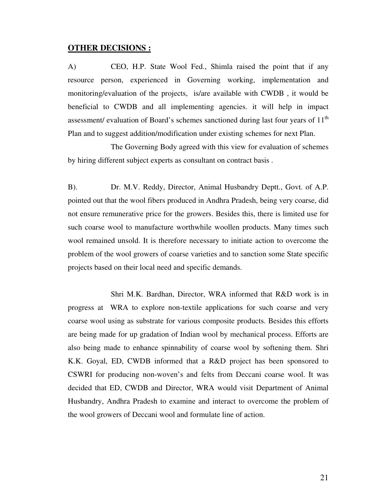#### **OTHER DECISIONS :**

A) CEO, H.P. State Wool Fed., Shimla raised the point that if any resource person, experienced in Governing working, implementation and monitoring/evaluation of the projects, is/are available with CWDB , it would be beneficial to CWDB and all implementing agencies. it will help in impact assessment/ evaluation of Board's schemes sanctioned during last four years of 11<sup>th</sup> Plan and to suggest addition/modification under existing schemes for next Plan.

 The Governing Body agreed with this view for evaluation of schemes by hiring different subject experts as consultant on contract basis .

B). Dr. M.V. Reddy, Director, Animal Husbandry Deptt., Govt. of A.P. pointed out that the wool fibers produced in Andhra Pradesh, being very coarse, did not ensure remunerative price for the growers. Besides this, there is limited use for such coarse wool to manufacture worthwhile woollen products. Many times such wool remained unsold. It is therefore necessary to initiate action to overcome the problem of the wool growers of coarse varieties and to sanction some State specific projects based on their local need and specific demands.

 Shri M.K. Bardhan, Director, WRA informed that R&D work is in progress at WRA to explore non-textile applications for such coarse and very coarse wool using as substrate for various composite products. Besides this efforts are being made for up gradation of Indian wool by mechanical process. Efforts are also being made to enhance spinnability of coarse wool by softening them. Shri K.K. Goyal, ED, CWDB informed that a R&D project has been sponsored to CSWRI for producing non-woven's and felts from Deccani coarse wool. It was decided that ED, CWDB and Director, WRA would visit Department of Animal Husbandry, Andhra Pradesh to examine and interact to overcome the problem of the wool growers of Deccani wool and formulate line of action.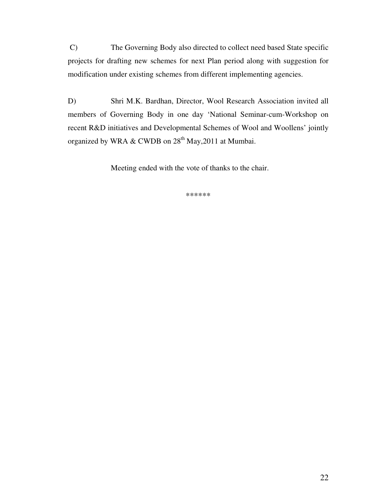C) The Governing Body also directed to collect need based State specific projects for drafting new schemes for next Plan period along with suggestion for modification under existing schemes from different implementing agencies.

D) Shri M.K. Bardhan, Director, Wool Research Association invited all members of Governing Body in one day 'National Seminar-cum-Workshop on recent R&D initiatives and Developmental Schemes of Wool and Woollens' jointly organized by WRA & CWDB on  $28<sup>th</sup>$  May, 2011 at Mumbai.

Meeting ended with the vote of thanks to the chair.

\*\*\*\*\*\*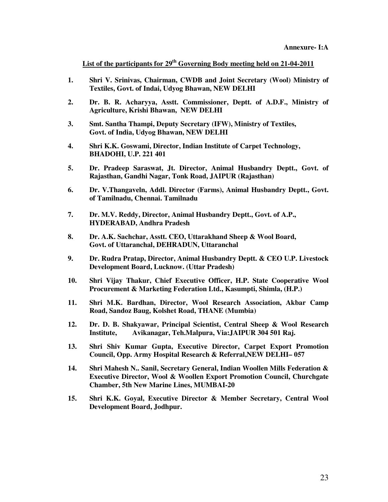**List of the participants for 29th Governing Body meeting held on 21-04-2011**

- **1. Shri V. Srinivas, Chairman, CWDB and Joint Secretary (Wool) Ministry of Textiles, Govt. of Indai, Udyog Bhawan, NEW DELHI**
- **2. Dr. B. R. Acharyya, Asstt. Commissioner, Deptt. of A.D.F., Ministry of Agriculture, Krishi Bhawan, NEW DELHI**
- **3. Smt. Santha Thampi, Deputy Secretary (IFW), Ministry of Textiles, Govt. of India, Udyog Bhawan, NEW DELHI**
- **4. Shri K.K. Goswami, Director, Indian Institute of Carpet Technology, BHADOHI, U.P. 221 401**
- **5. Dr. Pradeep Saraswat, Jt. Director, Animal Husbandry Deptt., Govt. of Rajasthan, Gandhi Nagar, Tonk Road, JAIPUR (Rajasthan)**
- **6. Dr. V.Thangaveln, Addl. Director (Farms), Animal Husbandry Deptt., Govt. of Tamilnadu, Chennai. Tamilnadu**
- **7. Dr. M.V. Reddy, Director, Animal Husbandry Deptt., Govt. of A.P., HYDERABAD, Andhra Pradesh**
- **8. Dr. A.K. Sachchar, Asstt. CEO, Uttarakhand Sheep & Wool Board, Govt. of Uttaranchal, DEHRADUN, Uttaranchal**
- **9. Dr. Rudra Pratap, Director, Animal Husbandry Deptt. & CEO U.P. Livestock Development Board, Lucknow. (Uttar Pradesh)**
- **10. Shri Vijay Thakur, Chief Executive Officer, H.P. State Cooperative Wool Procurement & Marketing Federation Ltd., Kasumpti, Shimla, (H.P.)**
- **11. Shri M.K. Bardhan, Director, Wool Research Association, Akbar Camp Road, Sandoz Baug, Kolshet Road, THANE (Mumbia)**
- **12. Dr. D. B. Shakyawar, Principal Scientist, Central Sheep & Wool Research Institute, Avikanagar, Teh.Malpura, Via:JAIPUR 304 501 Raj.**
- **13. Shri Shiv Kumar Gupta, Executive Director, Carpet Export Promotion Council, Opp. Army Hospital Research & Referral,NEW DELHI– 057**
- **14. Shri Mahesh N.. Sanil, Secretary General, Indian Woollen Mills Federation & Executive Director, Wool & Woollen Export Promotion Council, Churchgate Chamber, 5th New Marine Lines, MUMBAI-20**
- **15. Shri K.K. Goyal, Executive Director & Member Secretary, Central Wool Development Board, Jodhpur.**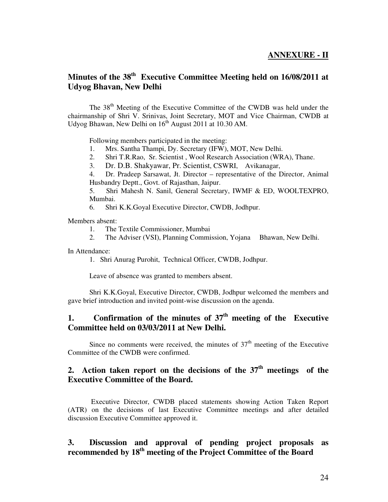#### **ANNEXURE - II**

#### **Minutes of the 38th Executive Committee Meeting held on 16/08/2011 at Udyog Bhavan, New Delhi**

The 38<sup>th</sup> Meeting of the Executive Committee of the CWDB was held under the chairmanship of Shri V. Srinivas, Joint Secretary, MOT and Vice Chairman, CWDB at Udyog Bhawan, New Delhi on  $16^{th}$  August 2011 at 10.30 AM.

Following members participated in the meeting:

- 1. Mrs. Santha Thampi, Dy. Secretary (IFW), MOT, New Delhi.
- 2. Shri T.R.Rao, Sr. Scientist , Wool Research Association (WRA), Thane.
- 3. Dr. D.B. Shakyawar, Pr. Scientist, CSWRI, Avikanagar,

4. Dr. Pradeep Sarsawat, Jt. Director – representative of the Director, Animal Husbandry Deptt., Govt. of Rajasthan, Jaipur.

5. Shri Mahesh N. Sanil, General Secretary, IWMF & ED, WOOLTEXPRO, Mumbai.

6. Shri K.K.Goyal Executive Director, CWDB, Jodhpur.

Members absent:

- 1. The Textile Commissioner, Mumbai
- 2. The Adviser (VSI), Planning Commission, Yojana Bhawan, New Delhi.

In Attendance:

1. Shri Anurag Purohit, Technical Officer, CWDB, Jodhpur.

Leave of absence was granted to members absent.

 Shri K.K.Goyal, Executive Director, CWDB, Jodhpur welcomed the members and gave brief introduction and invited point-wise discussion on the agenda.

#### **1. Confirmation of the minutes of 37th meeting of the Executive Committee held on 03/03/2011 at New Delhi.**

Since no comments were received, the minutes of  $37<sup>th</sup>$  meeting of the Executive Committee of the CWDB were confirmed.

#### **2. Action taken report on the decisions of the 37th meetings of the Executive Committee of the Board.**

 Executive Director, CWDB placed statements showing Action Taken Report (ATR) on the decisions of last Executive Committee meetings and after detailed discussion Executive Committee approved it.

#### **3. Discussion and approval of pending project proposals as recommended by 18th meeting of the Project Committee of the Board**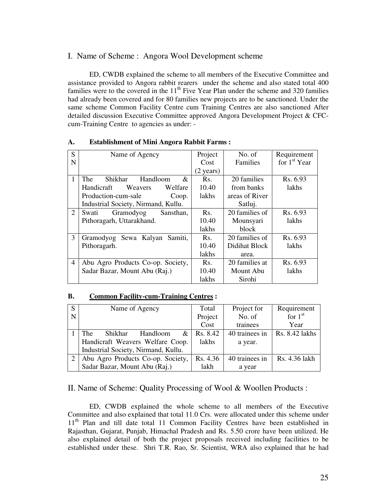#### I. Name of Scheme : Angora Wool Development scheme

 ED, CWDB explained the scheme to all members of the Executive Committee and assistance provided to Angora rabbit rearers under the scheme and also stated total 400 families were to the covered in the  $11<sup>th</sup>$  Five Year Plan under the scheme and 320 families had already been covered and for 80 families new projects are to be sanctioned. Under the same scheme Common Facility Centre cum Training Centres are also sanctioned After detailed discussion Executive Committee approved Angora Development Project & CFCcum-Training Centre to agencies as under: -

| S              | Name of Agency                         | Project             | No. of         | Requirement              |
|----------------|----------------------------------------|---------------------|----------------|--------------------------|
| N              |                                        | Cost                | Families       | for 1 <sup>st</sup> Year |
|                |                                        | $(2 \text{ years})$ |                |                          |
| 1              | Shikhar<br>Handloom<br><b>The</b><br>& | Rs.                 | 20 families    | Rs. 6.93                 |
|                | Handicraft<br>Weavers<br>Welfare       | 10.40               | from banks     | lakhs                    |
|                | Production-cum-sale<br>Coop.           | lakhs               | areas of River |                          |
|                | Industrial Society, Nirmand, Kullu.    |                     | Satluj.        |                          |
| 2              | Swati<br>Gramodyog<br>Sansthan,        | Rs.                 | 20 families of | Rs. 6.93                 |
|                | Pithoragarh, Uttarakhand.              | 10.40               | Mounsyari      | lakhs                    |
|                |                                        | lakhs               | block          |                          |
| 3              | Gramodyog Sewa Kalyan<br>Samiti.       | Rs.                 | 20 families of | Rs. 6.93                 |
|                | Pithoragarh.                           | 10.40               | Didihat Block  | lakhs                    |
|                |                                        | lakhs               | area.          |                          |
| $\overline{4}$ | Abu Agro Products Co-op. Society,      | Rs.                 | 20 families at | Rs. 6.93                 |
|                | Sadar Bazar, Mount Abu (Raj.)          | 10.40               | Mount Abu      | lakhs                    |
|                |                                        | lakhs               | Sirohi         |                          |

#### **A. Establishment of Mini Angora Rabbit Farms :**

#### **B. Common Facility-cum-Training Centres :**

| S | Name of Agency                      | Total    | Project for    | Requirement    |
|---|-------------------------------------|----------|----------------|----------------|
| N |                                     | Project  | No. of         | for $1st$      |
|   |                                     | Cost     | trainees       | Year           |
|   | The<br>Shikhar<br>Handloom<br>&     | Rs. 8.42 | 40 trainees in | Rs. 8.42 lakhs |
|   | Handicraft Weavers Welfare Coop.    | lakhs    | a year.        |                |
|   | Industrial Society, Nirmand, Kullu. |          |                |                |
| 2 | Abu Agro Products Co-op. Society,   | Rs. 4.36 | 40 trainees in | Rs. 4.36 lakh  |
|   | Sadar Bazar, Mount Abu (Raj.)       | lakh     | a year         |                |

#### II. Name of Scheme: Quality Processing of Wool & Woollen Products :

 ED, CWDB explained the whole scheme to all members of the Executive Committee and also explained that total 11.0 Crs. were allocated under this scheme under 11<sup>th</sup> Plan and till date total 11 Common Facility Centres have been established in Rajasthan, Gujarat, Punjab, Himachal Pradesh and Rs. 5.50 crore have been utilized. He also explained detail of both the project proposals received including facilities to be established under these. Shri T.R. Rao, Sr. Scientist, WRA also explained that he had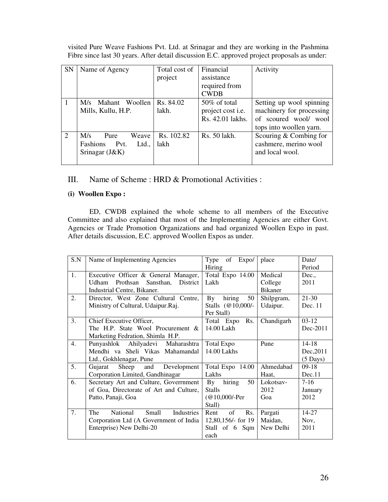| <b>SN</b>     | Name of Agency         | Total cost of | Financial         | Activity                 |
|---------------|------------------------|---------------|-------------------|--------------------------|
|               |                        | project       | assistance        |                          |
|               |                        |               | required from     |                          |
|               |                        |               | <b>CWDB</b>       |                          |
| 1             | M/s Mahant Woollen     | Rs. 84.02     | 50% of total      | Setting up wool spinning |
|               | Mills, Kullu, H.P.     | lakh.         | project cost i.e. | machinery for processing |
|               |                        |               | Rs. 42.01 lakhs.  | of scoured wool/ wool    |
|               |                        |               |                   | tops into woollen yarn.  |
| $\mathcal{L}$ | M/s<br>Weave<br>Pure   | Rs. 102.82    | Rs. 50 lakh.      | Scouring $&$ Combing for |
|               | Fashions Pvt.<br>Ltd., | lakh          |                   | cashmere, merino wool    |
|               | Srinagar $(J&K)$       |               |                   | and local wool.          |
|               |                        |               |                   |                          |

visited Pure Weave Fashions Pvt. Ltd. at Srinagar and they are working in the Pashmina Fibre since last 30 years. After detail discussion E.C. approved project proposals as under:

#### III. Name of Scheme : HRD & Promotional Activities :

#### **(i) Woollen Expo :**

 ED, CWDB explained the whole scheme to all members of the Executive Committee and also explained that most of the Implementing Agencies are either Govt. Agencies or Trade Promotion Organizations and had organized Woollen Expo in past. After details discussion, E.C. approved Woollen Expos as under.

| S.N | Name of Implementing Agencies                 | of<br>Expo/<br>Type                     | place          | Date/              |
|-----|-----------------------------------------------|-----------------------------------------|----------------|--------------------|
|     |                                               | Hiring                                  |                | Period             |
| 1.  | Executive Officer & General Manager,          | Total Expo 14.00                        | Medical        | Dec.,              |
|     | Prothsan Sansthan,<br>District<br>Udham       | Lakh                                    | College        | 2011               |
|     | Industrial Centre, Bikaner.                   |                                         | <b>Bikaner</b> |                    |
| 2.  | Director, West Zone Cultural Centre,          | hiring<br>By<br>50                      | Shilpgram,     | $21 - 30$          |
|     | Ministry of Cultural, Udaipur.Raj.            | Stalls $(@10,000/-$                     | Udaipur.       | Dec. 11            |
|     |                                               | Per Stall)                              |                |                    |
| 3.  | Chief Executive Officer,                      | Total Expo Rs.                          | Chandigarh     | $03-12$            |
|     | The H.P. State Wool Procurement &             | 14.00 Lakh                              |                | Dec-2011           |
|     | Marketing Fedration, Shimla H.P.              |                                         |                |                    |
| 4.  | Punyashlok Ahilyadevi Maharashtra             | Total Expo                              | Pune           | 14-18              |
|     | Mendhi va Sheli Vikas Mahamandal              | 14.00 Lakhs                             |                | Dec, 2011          |
|     | Ltd., Gokhlenagar, Pune                       |                                         |                | $(5 \text{ Days})$ |
| 5.  | Sheep and<br>Development<br>Gujarat           | Total Expo 14.00                        | Ahmedabad      | $09-18$            |
|     | Corporation Limited, Gandhinagar              | Lakhs                                   | Haat,          | Dec.11             |
| 6.  | Secretary Art and Culture, Government         | hiring<br>50<br>$\mathbf{B} \mathbf{y}$ | Lokotsay-      | $7-16$             |
|     | of Goa, Directorate of Art and Culture,       | <b>Stalls</b>                           | 2012           | January            |
|     | Patto, Panaji, Goa                            | $@10,000$ /-Per                         | Goa            | 2012               |
|     |                                               | Stall)                                  |                |                    |
| 7.  | The<br>National<br>Small<br><b>Industries</b> | of<br>Rs.<br>Rent                       | Pargati        | 14-27              |
|     | Corporation Ltd (A Government of India        | 12,80,156/- for 19                      | Maidan,        | Nov,               |
|     | Enterprise) New Delhi-20                      | Stall of 6 Sqm   New Delhi              |                | 2011               |
|     |                                               | each                                    |                |                    |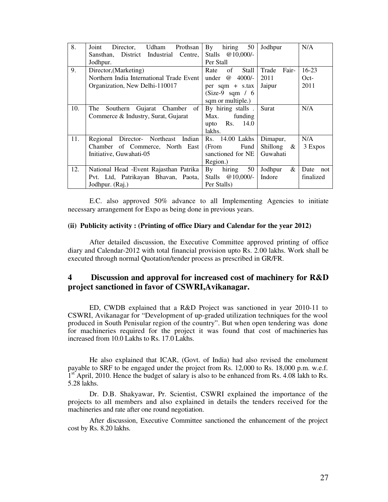| 8.  | Udham Prothsan<br>Joint<br>Director,     | hiring<br>$\mathbf{B} \mathbf{v}$<br>50 | Jodhpur         | N/A         |
|-----|------------------------------------------|-----------------------------------------|-----------------|-------------|
|     | Sansthan, District Industrial Centre,    | Stalls $@10,000/-$                      |                 |             |
|     | Jodhpur.                                 | Per Stall                               |                 |             |
| 9.  | Director, (Marketing)                    | of<br><b>Stall</b><br>Rate              | Fair-<br>Trade  | $16-23$     |
|     | Northern India International Trade Event | $\omega$<br>4000/-<br>under             | 2011            | $Oct-$      |
|     | Organization, New Delhi-110017           | $per$ sqm + s.tax                       | Jaipur          | 2011        |
|     |                                          | $(Size-9 \text{ sqm} / 6)$              |                 |             |
|     |                                          | sqm or multiple.)                       |                 |             |
| 10. | Gujarat Chamber of<br>Southern<br>The    | By hiring stalls.                       | Surat           | N/A         |
|     | Commerce & Industry, Surat, Gujarat      | funding<br>Max.                         |                 |             |
|     |                                          | Rs. 14.0<br>upto                        |                 |             |
|     |                                          | lakhs.                                  |                 |             |
| 11. | Regional Director- Northeast Indian      | Rs. 14.00 Lakhs                         | Dimapur,        | N/A         |
|     | Chamber of Commerce, North East          | (From<br>Fund                           | Shillong $\&$   | 3 Expos     |
|     | Initiative, Guwahati-05                  | sanctioned for NE                       | Guwahati        |             |
|     |                                          | Region.)                                |                 |             |
| 12. | National Head - Event Rajasthan Patrika  | hiring<br>50<br>$\mathbf{B} \mathbf{v}$ | $\&$<br>Jodhpur | Date<br>not |
|     | Pvt. Ltd, Patrikayan Bhavan, Paota,      | Stalls $@10,000/-$                      | Indore          | finalized   |
|     | Jodhpur. (Raj.)                          | Per Stalls)                             |                 |             |

 E.C. also approved 50% advance to all Implementing Agencies to initiate necessary arrangement for Expo as being done in previous years.

#### **(ii) Publicity activity : (Printing of office Diary and Calendar for the year 2012)**

 After detailed discussion, the Executive Committee approved printing of office diary and Calendar-2012 with total financial provision upto Rs. 2.00 lakhs. Work shall be executed through normal Quotation/tender process as prescribed in GR/FR.

#### **4 Discussion and approval for increased cost of machinery for R&D project sanctioned in favor of CSWRI,Avikanagar.**

 ED, CWDB explained that a R&D Project was sanctioned in year 2010-11 to CSWRI, Avikanagar for "Development of up-graded utilization techniques for the wool produced in South Penisular region of the country". But when open tendering was done for machineries required for the project it was found that cost of machineries has increased from 10.0 Lakhs to Rs. 17.0 Lakhs.

 He also explained that ICAR, (Govt. of India) had also revised the emolument payable to SRF to be engaged under the project from Rs. 12,000 to Rs. 18,000 p.m. w.e.f. 1<sup>st</sup> April, 2010. Hence the budget of salary is also to be enhanced from Rs. 4.08 lakh to Rs. 5.28 lakhs.

 Dr. D.B. Shakyawar, Pr. Scientist, CSWRI explained the importance of the projects to all members and also explained in details the tenders received for the machineries and rate after one round negotiation.

 After discussion, Executive Committee sanctioned the enhancement of the project cost by Rs. 8.20 lakhs.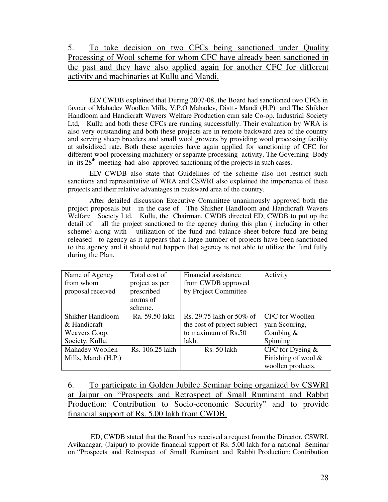5. To take decision on two CFCs being sanctioned under Quality Processing of Wool scheme for whom CFC have already been sanctioned in the past and they have also applied again for another CFC for different activity and machinaries at Kullu and Mandi.

 ED/ CWDB explained that During 2007-08, the Board had sanctioned two CFCs in favour of Mahadev Woollen Mills, V.P.O Mahadev, Distt.- Mandi (H.P) and The Shikher Handloom and Handicraft Wavers Welfare Production cum sale Co-op. Industrial Society Ltd, Kullu and both these CFCs are running successfully. Their evaluation by WRA is also very outstanding and both these projects are in remote backward area of the country and serving sheep breeders and small wool growers by providing wool processing facility at subsidized rate. Both these agencies have again applied for sanctioning of CFC for different wool processing machinery or separate processing activity. The Governing Body in its  $28<sup>th</sup>$  meeting had also approved sanctioning of the projects in such cases.

ED/ CWDB also state that Guidelines of the scheme also not restrict such sanctions and representative of WRA and CSWRI also explained the importance of these projects and their relative advantages in backward area of the country.

After detailed discussion Executive Committee unanimously approved both the project proposals but in the case of The Shikher Handloom and Handicraft Wavers Welfare Society Ltd, Kullu, the Chairman, CWDB directed ED, CWDB to put up the detail of all the project sanctioned to the agency during this plan ( including in other scheme) along with utilization of the fund and balance sheet before fund are being released to agency as it appears that a large number of projects have been sanctioned to the agency and it should not happen that agency is not able to utilize the fund fully during the Plan.

| Name of Agency      | Total cost of   | Financial assistance        | Activity               |
|---------------------|-----------------|-----------------------------|------------------------|
| from whom           | project as per  | from CWDB approved          |                        |
| proposal received   | prescribed      | by Project Committee        |                        |
|                     | norms of        |                             |                        |
|                     | scheme.         |                             |                        |
| Shikher Handloom    | Ra. 59.50 lakh  | Rs. 29.75 lakh or 50% of    | CFC for Woollen        |
| & Handicraft        |                 | the cost of project subject | yarn Scouring,         |
| Weavers Coop.       |                 | to maximum of Rs.50         | Combing $&$            |
| Society, Kullu.     |                 | lakh.                       | Spinning.              |
| Mahadev Woollen     | Rs. 106.25 lakh | Rs. 50 lakh                 | CFC for Dyeing $\&$    |
| Mills, Mandi (H.P.) |                 |                             | Finishing of wool $\&$ |
|                     |                 |                             | woollen products.      |

6. To participate in Golden Jubilee Seminar being organized by CSWRI at Jaipur on "Prospects and Retrospect of Small Ruminant and Rabbit Production: Contribution to Socio-economic Security" and to provide financial support of Rs. 5.00 lakh from CWDB.

 ED, CWDB stated that the Board has received a request from the Director, CSWRI, Avikanagar, (Jaipur) to provide financial support of Rs. 5.00 lakh for a national Seminar on "Prospects and Retrospect of Small Ruminant and Rabbit Production: Contribution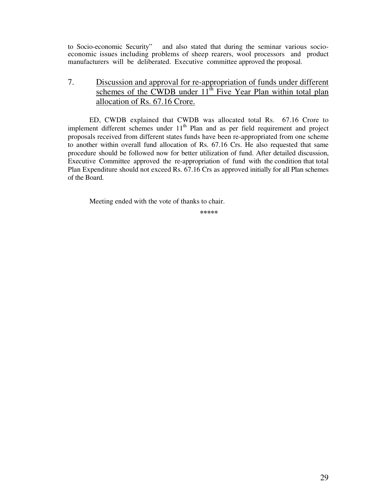to Socio-economic Security" and also stated that during the seminar various socioeconomic issues including problems of sheep rearers, wool processors and product manufacturers will be deliberated. Executive committee approved the proposal.

7. Discussion and approval for re-appropriation of funds under different schemes of the CWDB under  $11<sup>th</sup>$  Five Year Plan within total plan allocation of Rs. 67.16 Crore.

ED, CWDB explained that CWDB was allocated total Rs. 67.16 Crore to implement different schemes under  $11<sup>th</sup>$  Plan and as per field requirement and project proposals received from different states funds have been re-appropriated from one scheme to another within overall fund allocation of Rs. 67.16 Crs. He also requested that same procedure should be followed now for better utilization of fund. After detailed discussion, Executive Committee approved the re-appropriation of fund with the condition that total Plan Expenditure should not exceed Rs. 67.16 Crs as approved initially for all Plan schemes of the Board.

Meeting ended with the vote of thanks to chair.

**\*\*\*\*\***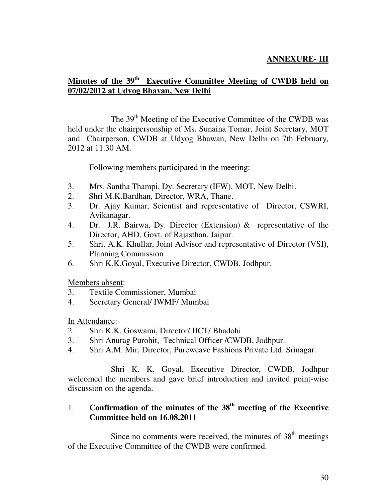#### **ANNEXURE- III**

#### **Minutes of the 39th Executive Committee Meeting of CWDB held on 07/02/2012 at Udyog Bhavan, New Delhi**

The 39<sup>th</sup> Meeting of the Executive Committee of the CWDB was held under the chairpersonship of Ms. Sunaina Tomar, Joint Secretary, MOT and Chairperson, CWDB at Udyog Bhawan, New Delhi on 7th February, 2012 at 11.30 AM.

Following members participated in the meeting:

- 3. Mrs. Santha Thampi, Dy. Secretary (IFW), MOT, New Delhi.
- 2. Shri M.K.Bardhan, Director, WRA, Thane.
- 3. Dr. Ajay Kumar, Scientist and representative of Director, CSWRI, Avikanagar.
- 4. Dr. J.R. Bairwa, Dy. Director (Extension) & representative of the Director, AHD, Govt. of Rajasthan, Jaipur.
- 5. Shri. A.K. Khullar, Joint Advisor and representative of Director (VSI), Planning Commission
- 6. Shri K.K.Goyal, Executive Director, CWDB, Jodhpur.

Members absent:

- 3. Textile Commissioner, Mumbai
- 4. Secretary General/ IWMF/ Mumbai

In Attendance:

- 2. Shri K.K. Goswami, Director/ IICT/ Bhadohi
- 3. Shri Anurag Purohit, Technical Officer /CWDB, Jodhpur.
- 4. Shri A.M. Mir, Director, Pureweave Fashions Private Ltd. Srinagar.

 Shri K. K. Goyal, Executive Director, CWDB, Jodhpur welcomed the members and gave brief introduction and invited point-wise discussion on the agenda.

#### 1. **Confirmation of the minutes of the 38th meeting of the Executive Committee held on 16.08.2011**

Since no comments were received, the minutes of  $38<sup>th</sup>$  meetings of the Executive Committee of the CWDB were confirmed.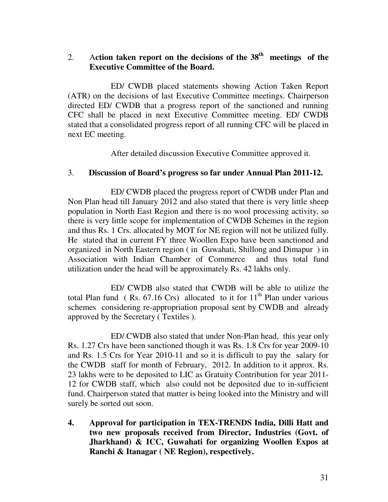#### 2. A**ction taken report on the decisions of the 38th meetings of the Executive Committee of the Board.**

 ED/ CWDB placed statements showing Action Taken Report (ATR) on the decisions of last Executive Committee meetings. Chairperson directed ED/ CWDB that a progress report of the sanctioned and running CFC shall be placed in next Executive Committee meeting. ED/ CWDB stated that a consolidated progress report of all running CFC will be placed in next EC meeting.

After detailed discussion Executive Committee approved it.

#### 3. **Discussion of Board's progress so far under Annual Plan 2011-12.**

ED/ CWDB placed the progress report of CWDB under Plan and Non Plan head till January 2012 and also stated that there is very little sheep population in North East Region and there is no wool processing activity, so there is very little scope for implementation of CWDB Schemes in the region and thus Rs. 1 Crs. allocated by MOT for NE region will not be utilized fully. He stated that in current FY three Woollen Expo have been sanctioned and organized in North Eastern region ( in Guwahati, Shillong and Dimapur ) in Association with Indian Chamber of Commerce and thus total fund utilization under the head will be approximately Rs. 42 lakhs only.

 ED/ CWDB also stated that CWDB will be able to utilize the total Plan fund (Rs.  $67.16$  Crs) allocated to it for  $11<sup>th</sup>$  Plan under various schemes considering re-appropriation proposal sent by CWDB and already approved by the Secretary ( Textiles ).

 ED/ CWDB also stated that under Non-Plan head, this year only Rs. 1.27 Crs have been sanctioned though it was Rs. 1.8 Crs for year 2009-10 and Rs. 1.5 Crs for Year 2010-11 and so it is difficult to pay the salary for the CWDB staff for month of February, 2012. In addition to it approx. Rs. 23 lakhs were to be deposited to LIC as Gratuity Contribution for year 2011- 12 for CWDB staff, which also could not be deposited due to in-sufficient fund. Chairperson stated that matter is being looked into the Ministry and will surely be sorted out soon.

**4. Approval for participation in TEX-TRENDS India, Dilli Hatt and two new proposals received from Director, Industries (Govt. of Jharkhand) & ICC, Guwahati for organizing Woollen Expos at Ranchi & Itanagar ( NE Region), respectively.**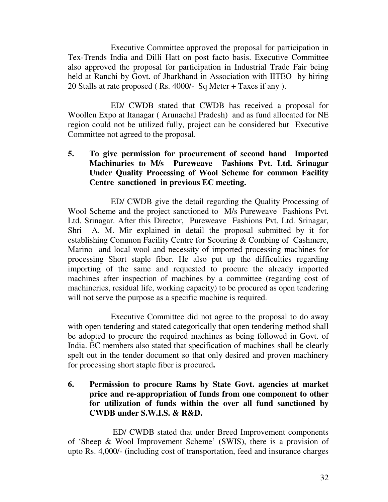Executive Committee approved the proposal for participation in Tex-Trends India and Dilli Hatt on post facto basis. Executive Committee also approved the proposal for participation in Industrial Trade Fair being held at Ranchi by Govt. of Jharkhand in Association with IITEO by hiring 20 Stalls at rate proposed ( Rs. 4000/- Sq Meter + Taxes if any ).

 ED/ CWDB stated that CWDB has received a proposal for Woollen Expo at Itanagar ( Arunachal Pradesh) and as fund allocated for NE region could not be utilized fully, project can be considered but Executive Committee not agreed to the proposal.

**5. To give permission for procurement of second hand Imported Machinaries to M/s Pureweave Fashions Pvt. Ltd. Srinagar Under Quality Processing of Wool Scheme for common Facility Centre sanctioned in previous EC meeting.** 

 ED/ CWDB give the detail regarding the Quality Processing of Wool Scheme and the project sanctioned to M/s Pureweave Fashions Pvt. Ltd. Srinagar. After this Director, Pureweave Fashions Pvt. Ltd. Srinagar, Shri A. M. Mir explained in detail the proposal submitted by it for establishing Common Facility Centre for Scouring & Combing of Cashmere, Marino and local wool and necessity of imported processing machines for processing Short staple fiber. He also put up the difficulties regarding importing of the same and requested to procure the already imported machines after inspection of machines by a committee (regarding cost of machineries, residual life, working capacity) to be procured as open tendering will not serve the purpose as a specific machine is required.

 Executive Committee did not agree to the proposal to do away with open tendering and stated categorically that open tendering method shall be adopted to procure the required machines as being followed in Govt. of India. EC members also stated that specification of machines shall be clearly spelt out in the tender document so that only desired and proven machinery for processing short staple fiber is procured**.** 

**6. Permission to procure Rams by State Govt. agencies at market price and re-appropriation of funds from one component to other for utilization of funds within the over all fund sanctioned by CWDB under S.W.I.S. & R&D.** 

 ED/ CWDB stated that under Breed Improvement components of 'Sheep & Wool Improvement Scheme' (SWIS), there is a provision of upto Rs. 4,000/- (including cost of transportation, feed and insurance charges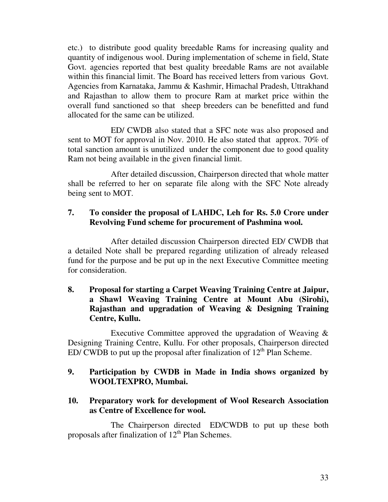etc.) to distribute good quality breedable Rams for increasing quality and quantity of indigenous wool. During implementation of scheme in field, State Govt. agencies reported that best quality breedable Rams are not available within this financial limit. The Board has received letters from various Govt. Agencies from Karnataka, Jammu & Kashmir, Himachal Pradesh, Uttrakhand and Rajasthan to allow them to procure Ram at market price within the overall fund sanctioned so that sheep breeders can be benefitted and fund allocated for the same can be utilized.

 ED/ CWDB also stated that a SFC note was also proposed and sent to MOT for approval in Nov. 2010. He also stated that approx. 70% of total sanction amount is unutilized under the component due to good quality Ram not being available in the given financial limit.

 After detailed discussion, Chairperson directed that whole matter shall be referred to her on separate file along with the SFC Note already being sent to MOT.

#### **7. To consider the proposal of LAHDC, Leh for Rs. 5.0 Crore under Revolving Fund scheme for procurement of Pashmina wool.**

 After detailed discussion Chairperson directed ED/ CWDB that a detailed Note shall be prepared regarding utilization of already released fund for the purpose and be put up in the next Executive Committee meeting for consideration.

#### **8. Proposal for starting a Carpet Weaving Training Centre at Jaipur, a Shawl Weaving Training Centre at Mount Abu (Sirohi), Rajasthan and upgradation of Weaving & Designing Training Centre, Kullu.**

 Executive Committee approved the upgradation of Weaving & Designing Training Centre, Kullu. For other proposals, Chairperson directed ED/ CWDB to put up the proposal after finalization of  $12<sup>th</sup>$  Plan Scheme.

#### **9. Participation by CWDB in Made in India shows organized by WOOLTEXPRO, Mumbai.**

#### **10. Preparatory work for development of Wool Research Association as Centre of Excellence for wool.**

 The Chairperson directed ED/CWDB to put up these both proposals after finalization of  $12<sup>th</sup>$  Plan Schemes.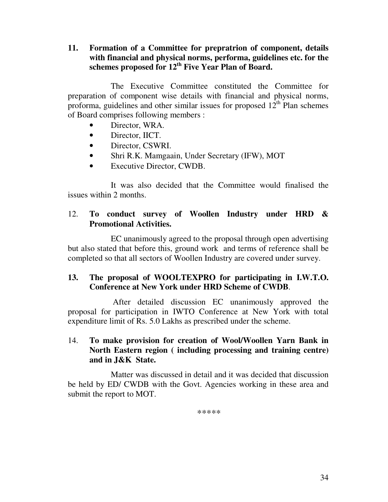#### **11. Formation of a Committee for prepratrion of component, details with financial and physical norms, performa, guidelines etc. for the schemes proposed for 12th Five Year Plan of Board.**

 The Executive Committee constituted the Committee for preparation of component wise details with financial and physical norms, proforma, guidelines and other similar issues for proposed  $12<sup>th</sup>$  Plan schemes of Board comprises following members :

- Director, WRA.
- Director, IICT.
- Director, CSWRI.
- Shri R.K. Mamgaain, Under Secretary (IFW), MOT
- Executive Director, CWDB.

 It was also decided that the Committee would finalised the issues within 2 months.

#### 12. **To conduct survey of Woollen Industry under HRD & Promotional Activities.**

EC unanimously agreed to the proposal through open advertising but also stated that before this, ground work and terms of reference shall be completed so that all sectors of Woollen Industry are covered under survey.

#### **13. The proposal of WOOLTEXPRO for participating in I.W.T.O. Conference at New York under HRD Scheme of CWDB**.

 After detailed discussion EC unanimously approved the proposal for participation in IWTO Conference at New York with total expenditure limit of Rs. 5.0 Lakhs as prescribed under the scheme.

#### 14. **To make provision for creation of Wool/Woollen Yarn Bank in North Eastern region ( including processing and training centre) and in J&K State.**

 Matter was discussed in detail and it was decided that discussion be held by ED/ CWDB with the Govt. Agencies working in these area and submit the report to MOT.

\*\*\*\*\*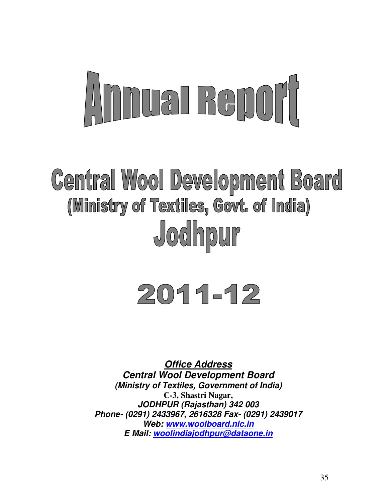# Annel Renort

## **Central Wool Development Board** (Ministry of Textiles, Govt. of India) Jodhpur

# 2011-12

**Office Address Central Wool Development Board (Ministry of Textiles, Government of India) C-3, Shastri Nagar, JODHPUR (Rajasthan) 342 003 Phone- (0291) 2433967, 2616328 Fax- (0291) 2439017 Web: www.woolboard.nic.in E Mail: woolindiajodhpur@dataone.in**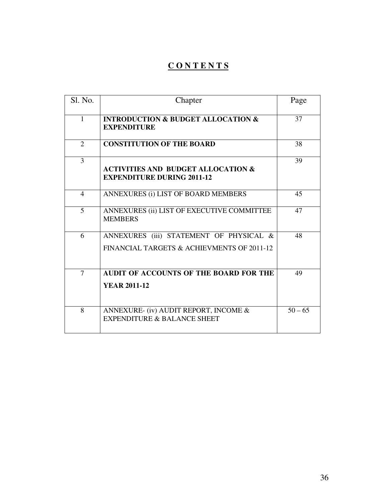#### **C O N T E N T S**

| Sl. No.      | Chapter                                                                               | Page      |
|--------------|---------------------------------------------------------------------------------------|-----------|
| $\mathbf{1}$ | <b>INTRODUCTION &amp; BUDGET ALLOCATION &amp;</b><br><b>EXPENDITURE</b>               | 37        |
| 2            | <b>CONSTITUTION OF THE BOARD</b>                                                      | 38        |
| 3            | <b>ACTIVITIES AND BUDGET ALLOCATION &amp;</b><br><b>EXPENDITURE DURING 2011-12</b>    | 39        |
| 4            | ANNEXURES (i) LIST OF BOARD MEMBERS                                                   | 45        |
| 5            | ANNEXURES (ii) LIST OF EXECUTIVE COMMITTEE<br><b>MEMBERS</b>                          | 47        |
| 6            | ANNEXURES (iii) STATEMENT OF PHYSICAL &<br>FINANCIAL TARGETS & ACHIEVMENTS OF 2011-12 | 48        |
| 7            | AUDIT OF ACCOUNTS OF THE BOARD FOR THE<br><b>YEAR 2011-12</b>                         | 49        |
| 8            | ANNEXURE- (iv) AUDIT REPORT, INCOME &<br><b>EXPENDITURE &amp; BALANCE SHEET</b>       | $50 - 65$ |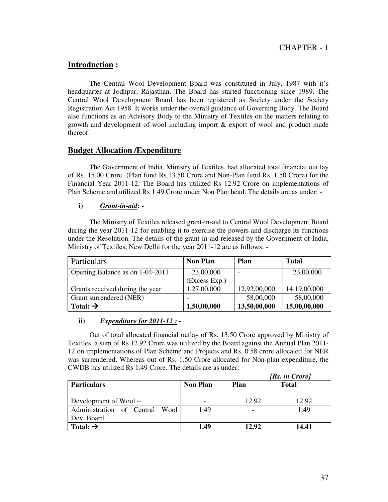#### **Introduction :**

 The Central Wool Development Board was constituted in July, 1987 with it's headquarter at Jodhpur, Rajasthan. The Board has started functioning since 1989. The Central Wool Development Board has been registered as Society under the Society Registration Act 1958. It works under the overall guidance of Governing Body. The Board also functions as an Advisory Body to the Ministry of Textiles on the matters relating to growth and development of wool including import & export of wool and product made thereof.

#### **Budget Allocation /Expenditure**

The Government of India, Ministry of Textiles, had allocated total financial out lay of Rs. 15.00 Crore (Plan fund Rs.13.50 Crore and Non-Plan fund Rs. 1.50 Crore) for the Financial Year 2011-12. The Board has utilized Rs 12.92 Crore on implementations of Plan Scheme and utilized Rs 1.49 Crore under Non Plan head. The details are as under: -

#### **i)** *Grant-in-aid***: -**

The Ministry of Textiles released grant-in-aid to Central Wool Development Board during the year 2011-12 for enabling it to exercise the powers and discharge its functions under the Resolution. The details of the grant-in-aid released by the Government of India, Ministry of Textiles, New Delhi for the year 2011-12 are as follows: -

| Particulars                     | <b>Non Plan</b> | Plan         | <b>Total</b> |
|---------------------------------|-----------------|--------------|--------------|
| Opening Balance as on 1-04-2011 | 23,00,000       |              | 23,00,000    |
|                                 | (Excess Exp.)   |              |              |
| Grants received during the year | 1,27,00,000     | 12,92,00,000 | 14,19,00,000 |
| Grant surrendered (NER)         |                 | 58,00,000    | 58,00,000    |
| Total: $\rightarrow$            | 1,50,00,000     | 13,50,00,000 | 15,00,00,000 |

#### **ii)** *Expenditure for 2011-12 :* **-**

Out of total allocated financial outlay of Rs. 13.50 Crore approved by Ministry of Textiles, a sum of Rs 12.92 Crore was utilized by the Board against the Annual Plan 2011- 12 on implementations of Plan Scheme and Projects and Rs. 0.58 crore allocated for NER was surrendered**.** Whereas out of Rs. 1.50 Crore allocated for Non-plan expenditure, the CWDB has utilized Rs 1.49 Crore. The details are as under:

|                                     | [Rs. in Crore]  |             |              |  |
|-------------------------------------|-----------------|-------------|--------------|--|
| <b>Particulars</b>                  | <b>Non Plan</b> | <b>Plan</b> | <b>Total</b> |  |
|                                     |                 |             |              |  |
| Development of $Wood -$             |                 | 12.92       | 12.92        |  |
| Administration of Central<br>- Wool | 1.49            |             | 1.49         |  |
| Dev. Board                          |                 |             |              |  |
| Total: $\rightarrow$                | 1.49            | 12.92       | 14.41        |  |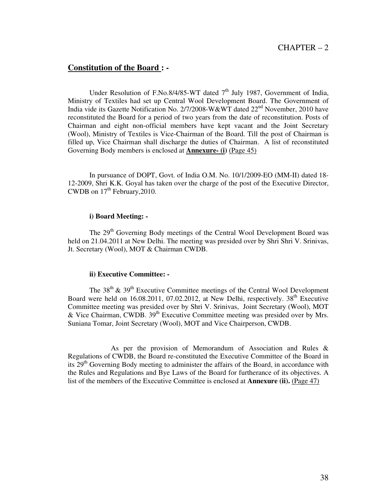#### CHAPTER – 2

#### **Constitution of the Board : -**

Under Resolution of F.No.8/4/85-WT dated  $7<sup>th</sup>$  July 1987, Government of India, Ministry of Textiles had set up Central Wool Development Board. The Government of India vide its Gazette Notification No. 2/7/2008-W&WT dated 22<sup>nd</sup> November, 2010 have reconstituted the Board for a period of two years from the date of reconstitution. Posts of Chairman and eight non-official members have kept vacant and the Joint Secretary (Wool), Ministry of Textiles is Vice-Chairman of the Board. Till the post of Chairman is filled up, Vice Chairman shall discharge the duties of Chairman. A list of reconstituted Governing Body members is enclosed at **Annexure- (i)** (Page 45)

 In pursuance of DOPT, Govt. of India O.M. No. 10/1/2009-EO (MM-II) dated 18- 12-2009, Shri K.K. Goyal has taken over the charge of the post of the Executive Director, CWDB on  $17<sup>th</sup>$  February, 2010.

#### **i) Board Meeting: -**

The 29<sup>th</sup> Governing Body meetings of the Central Wool Development Board was held on 21.04.2011 at New Delhi. The meeting was presided over by Shri Shri V. Srinivas, Jt. Secretary (Wool), MOT & Chairman CWDB.

#### **ii) Executive Committee: -**

The  $38<sup>th</sup>$  &  $39<sup>th</sup>$  Executive Committee meetings of the Central Wool Development Board were held on  $16.08.2011$ ,  $07.02.2012$ , at New Delhi, respectively.  $38<sup>th</sup>$  Executive Committee meeting was presided over by Shri V. Srinivas, Joint Secretary (Wool), MOT & Vice Chairman, CWDB. 39th Executive Committee meeting was presided over by Mrs. Suniana Tomar, Joint Secretary (Wool), MOT and Vice Chairperson, CWDB.

 As per the provision of Memorandum of Association and Rules & Regulations of CWDB, the Board re-constituted the Executive Committee of the Board in its  $29<sup>th</sup>$  Governing Body meeting to administer the affairs of the Board, in accordance with the Rules and Regulations and Bye Laws of the Board for furtherance of its objectives. A list of the members of the Executive Committee is enclosed at **Annexure (ii).** (Page 47)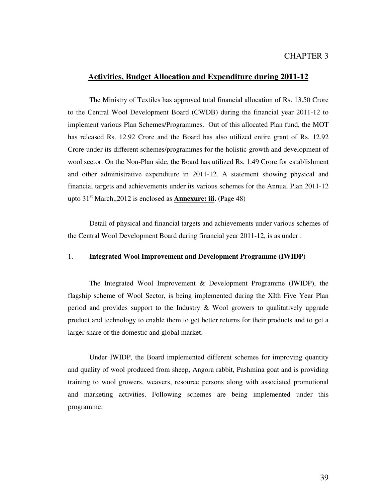#### CHAPTER 3

#### **Activities, Budget Allocation and Expenditure during 2011-12**

 The Ministry of Textiles has approved total financial allocation of Rs. 13.50 Crore to the Central Wool Development Board (CWDB) during the financial year 2011-12 to implement various Plan Schemes/Programmes. Out of this allocated Plan fund, the MOT has released Rs. 12.92 Crore and the Board has also utilized entire grant of Rs. 12.92 Crore under its different schemes/programmes for the holistic growth and development of wool sector. On the Non-Plan side, the Board has utilized Rs. 1.49 Crore for establishment and other administrative expenditure in 2011-12. A statement showing physical and financial targets and achievements under its various schemes for the Annual Plan 2011-12 upto 31<sup>st</sup> March,,2012 is enclosed as **Annexure: iii.** (Page 48)

 Detail of physical and financial targets and achievements under various schemes of the Central Wool Development Board during financial year 2011-12, is as under :

#### 1. **Integrated Wool Improvement and Development Programme (IWIDP)**

 The Integrated Wool Improvement & Development Programme (IWIDP), the flagship scheme of Wool Sector, is being implemented during the XIth Five Year Plan period and provides support to the Industry & Wool growers to qualitatively upgrade product and technology to enable them to get better returns for their products and to get a larger share of the domestic and global market.

 Under IWIDP, the Board implemented different schemes for improving quantity and quality of wool produced from sheep, Angora rabbit, Pashmina goat and is providing training to wool growers, weavers, resource persons along with associated promotional and marketing activities. Following schemes are being implemented under this programme: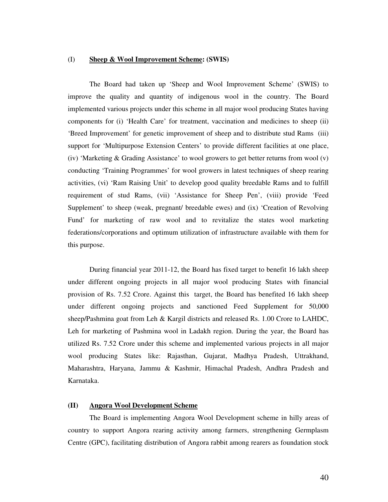#### (I) **Sheep & Wool Improvement Scheme: (SWIS)**

 The Board had taken up 'Sheep and Wool Improvement Scheme' (SWIS) to improve the quality and quantity of indigenous wool in the country. The Board implemented various projects under this scheme in all major wool producing States having components for (i) 'Health Care' for treatment, vaccination and medicines to sheep (ii) 'Breed Improvement' for genetic improvement of sheep and to distribute stud Rams (iii) support for 'Multipurpose Extension Centers' to provide different facilities at one place, (iv) 'Marketing & Grading Assistance' to wool growers to get better returns from wool (v) conducting 'Training Programmes' for wool growers in latest techniques of sheep rearing activities, (vi) 'Ram Raising Unit' to develop good quality breedable Rams and to fulfill requirement of stud Rams, (vii) 'Assistance for Sheep Pen', (viii) provide 'Feed Supplement' to sheep (weak, pregnant/ breedable ewes) and (ix) 'Creation of Revolving Fund' for marketing of raw wool and to revitalize the states wool marketing federations/corporations and optimum utilization of infrastructure available with them for this purpose.

 During financial year 2011-12, the Board has fixed target to benefit 16 lakh sheep under different ongoing projects in all major wool producing States with financial provision of Rs. 7.52 Crore. Against this target, the Board has benefited 16 lakh sheep under different ongoing projects and sanctioned Feed Supplement for 50,000 sheep/Pashmina goat from Leh & Kargil districts and released Rs. 1.00 Crore to LAHDC, Leh for marketing of Pashmina wool in Ladakh region. During the year, the Board has utilized Rs. 7.52 Crore under this scheme and implemented various projects in all major wool producing States like: Rajasthan, Gujarat, Madhya Pradesh, Uttrakhand, Maharashtra, Haryana, Jammu & Kashmir, Himachal Pradesh, Andhra Pradesh and Karnataka.

#### **(II) Angora Wool Development Scheme**

The Board is implementing Angora Wool Development scheme in hilly areas of country to support Angora rearing activity among farmers, strengthening Germplasm Centre (GPC), facilitating distribution of Angora rabbit among rearers as foundation stock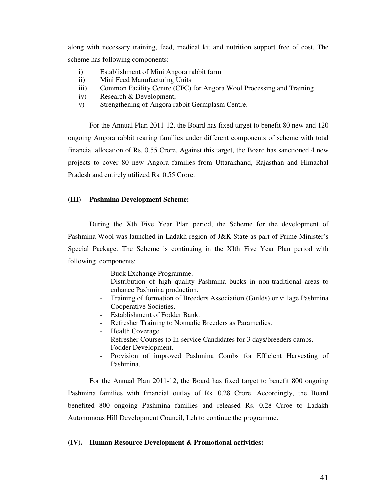along with necessary training, feed, medical kit and nutrition support free of cost. The scheme has following components:

- i) Establishment of Mini Angora rabbit farm
- ii) Mini Feed Manufacturing Units
- iii) Common Facility Centre (CFC) for Angora Wool Processing and Training
- iv) Research & Development,
- v) Strengthening of Angora rabbit Germplasm Centre.

 For the Annual Plan 2011-12, the Board has fixed target to benefit 80 new and 120 ongoing Angora rabbit rearing families under different components of scheme with total financial allocation of Rs. 0.55 Crore. Against this target, the Board has sanctioned 4 new projects to cover 80 new Angora families from Uttarakhand, Rajasthan and Himachal Pradesh and entirely utilized Rs. 0.55 Crore.

#### **(III) Pashmina Development Scheme:**

During the Xth Five Year Plan period, the Scheme for the development of Pashmina Wool was launched in Ladakh region of J&K State as part of Prime Minister's Special Package. The Scheme is continuing in the XIth Five Year Plan period with following components:

- Buck Exchange Programme.
- Distribution of high quality Pashmina bucks in non-traditional areas to enhance Pashmina production.
- Training of formation of Breeders Association (Guilds) or village Pashmina Cooperative Societies.
- Establishment of Fodder Bank.
- Refresher Training to Nomadic Breeders as Paramedics.
- Health Coverage.
- Refresher Courses to In-service Candidates for 3 days/breeders camps.
- Fodder Development.
- Provision of improved Pashmina Combs for Efficient Harvesting of Pashmina.

For the Annual Plan 2011-12, the Board has fixed target to benefit 800 ongoing Pashmina families with financial outlay of Rs. 0.28 Crore. Accordingly, the Board benefited 800 ongoing Pashmina families and released Rs. 0.28 Crroe to Ladakh Autonomous Hill Development Council, Leh to continue the programme.

#### **(IV). Human Resource Development & Promotional activities:**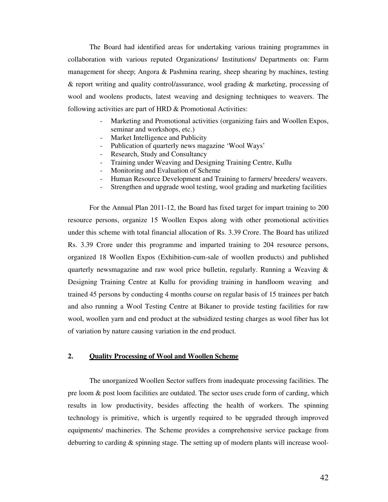The Board had identified areas for undertaking various training programmes in collaboration with various reputed Organizations/ Institutions/ Departments on: Farm management for sheep; Angora & Pashmina rearing, sheep shearing by machines, testing & report writing and quality control/assurance, wool grading & marketing, processing of wool and woolens products, latest weaving and designing techniques to weavers. The following activities are part of HRD & Promotional Activities:

- Marketing and Promotional activities (organizing fairs and Woollen Expos, seminar and workshops, etc.)
- Market Intelligence and Publicity
- Publication of quarterly news magazine 'Wool Ways'
- Research, Study and Consultancy
- Training under Weaving and Designing Training Centre, Kullu
- Monitoring and Evaluation of Scheme
- Human Resource Development and Training to farmers/ breeders/ weavers.
- Strengthen and upgrade wool testing, wool grading and marketing facilities

For the Annual Plan 2011-12, the Board has fixed target for impart training to 200 resource persons, organize 15 Woollen Expos along with other promotional activities under this scheme with total financial allocation of Rs. 3.39 Crore. The Board has utilized Rs. 3.39 Crore under this programme and imparted training to 204 resource persons, organized 18 Woollen Expos (Exhibition-cum-sale of woollen products) and published quarterly newsmagazine and raw wool price bulletin, regularly. Running a Weaving  $\&$ Designing Training Centre at Kullu for providing training in handloom weaving and trained 45 persons by conducting 4 months course on regular basis of 15 trainees per batch and also running a Wool Testing Centre at Bikaner to provide testing facilities for raw wool, woollen yarn and end product at the subsidized testing charges as wool fiber has lot of variation by nature causing variation in the end product.

#### **2. Quality Processing of Wool and Woollen Scheme**

 The unorganized Woollen Sector suffers from inadequate processing facilities. The pre loom & post loom facilities are outdated. The sector uses crude form of carding, which results in low productivity, besides affecting the health of workers. The spinning technology is primitive, which is urgently required to be upgraded through improved equipments/ machineries. The Scheme provides a comprehensive service package from deburring to carding & spinning stage. The setting up of modern plants will increase wool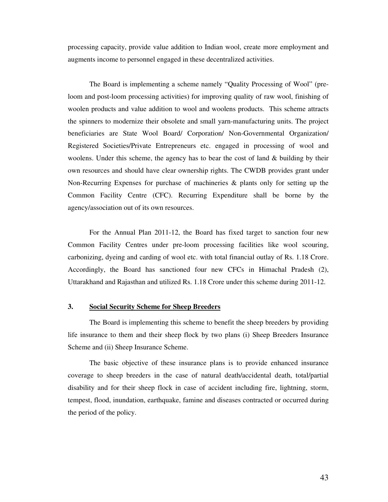processing capacity, provide value addition to Indian wool, create more employment and augments income to personnel engaged in these decentralized activities.

 The Board is implementing a scheme namely "Quality Processing of Wool" (preloom and post-loom processing activities) for improving quality of raw wool, finishing of woolen products and value addition to wool and woolens products. This scheme attracts the spinners to modernize their obsolete and small yarn-manufacturing units. The project beneficiaries are State Wool Board/ Corporation/ Non-Governmental Organization/ Registered Societies/Private Entrepreneurs etc. engaged in processing of wool and woolens. Under this scheme, the agency has to bear the cost of land  $&$  building by their own resources and should have clear ownership rights. The CWDB provides grant under Non-Recurring Expenses for purchase of machineries & plants only for setting up the Common Facility Centre (CFC). Recurring Expenditure shall be borne by the agency/association out of its own resources.

For the Annual Plan 2011-12, the Board has fixed target to sanction four new Common Facility Centres under pre-loom processing facilities like wool scouring, carbonizing, dyeing and carding of wool etc. with total financial outlay of Rs. 1.18 Crore. Accordingly, the Board has sanctioned four new CFCs in Himachal Pradesh (2), Uttarakhand and Rajasthan and utilized Rs. 1.18 Crore under this scheme during 2011-12.

#### **3. Social Security Scheme for Sheep Breeders**

The Board is implementing this scheme to benefit the sheep breeders by providing life insurance to them and their sheep flock by two plans (i) Sheep Breeders Insurance Scheme and (ii) Sheep Insurance Scheme.

The basic objective of these insurance plans is to provide enhanced insurance coverage to sheep breeders in the case of natural death/accidental death, total/partial disability and for their sheep flock in case of accident including fire, lightning, storm, tempest, flood, inundation, earthquake, famine and diseases contracted or occurred during the period of the policy.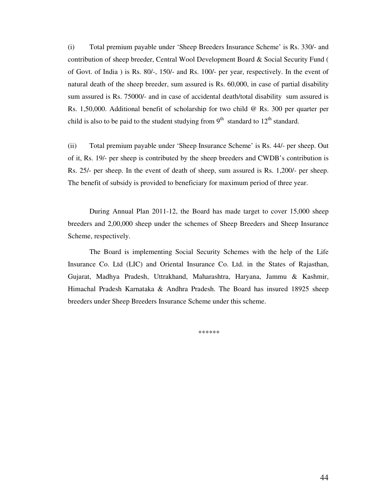(i) Total premium payable under 'Sheep Breeders Insurance Scheme' is Rs. 330/- and contribution of sheep breeder, Central Wool Development Board & Social Security Fund ( of Govt. of India ) is Rs. 80/-, 150/- and Rs. 100/- per year, respectively. In the event of natural death of the sheep breeder, sum assured is Rs. 60,000, in case of partial disability sum assured is Rs. 75000/- and in case of accidental death/total disability sum assured is Rs. 1,50,000. Additional benefit of scholarship for two child @ Rs. 300 per quarter per child is also to be paid to the student studying from  $9<sup>th</sup>$  standard to  $12<sup>th</sup>$  standard.

(ii) Total premium payable under 'Sheep Insurance Scheme' is Rs. 44/- per sheep. Out of it, Rs. 19/- per sheep is contributed by the sheep breeders and CWDB's contribution is Rs. 25/- per sheep. In the event of death of sheep, sum assured is Rs. 1,200/- per sheep. The benefit of subsidy is provided to beneficiary for maximum period of three year.

During Annual Plan 2011-12, the Board has made target to cover 15,000 sheep breeders and 2,00,000 sheep under the schemes of Sheep Breeders and Sheep Insurance Scheme, respectively.

The Board is implementing Social Security Schemes with the help of the Life Insurance Co. Ltd (LIC) and Oriental Insurance Co. Ltd. in the States of Rajasthan, Gujarat, Madhya Pradesh, Uttrakhand, Maharashtra, Haryana, Jammu & Kashmir, Himachal Pradesh Karnataka & Andhra Pradesh. The Board has insured 18925 sheep breeders under Sheep Breeders Insurance Scheme under this scheme.

\*\*\*\*\*\*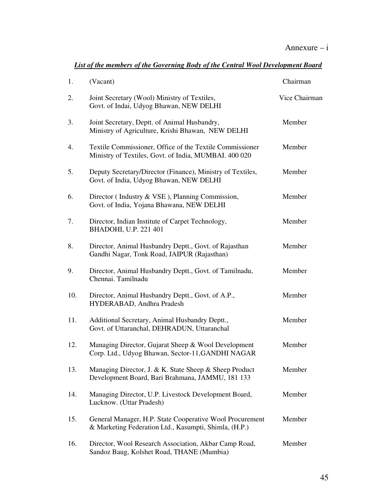| 1.  | (Vacant)                                                                                                          | Chairman      |
|-----|-------------------------------------------------------------------------------------------------------------------|---------------|
| 2.  | Joint Secretary (Wool) Ministry of Textiles,<br>Govt. of Indai, Udyog Bhawan, NEW DELHI                           | Vice Chairman |
| 3.  | Joint Secretary, Deptt. of Animal Husbandry,<br>Ministry of Agriculture, Krishi Bhawan, NEW DELHI                 | Member        |
| 4.  | Textile Commissioner, Office of the Textile Commissioner<br>Ministry of Textiles, Govt. of India, MUMBAI. 400 020 | Member        |
| 5.  | Deputy Secretary/Director (Finance), Ministry of Textiles,<br>Govt. of India, Udyog Bhawan, NEW DELHI             | Member        |
| 6.  | Director (Industry & VSE), Planning Commission,<br>Govt. of India, Yojana Bhawana, NEW DELHI                      | Member        |
| 7.  | Director, Indian Institute of Carpet Technology,<br>BHADOHI, U.P. 221 401                                         | Member        |
| 8.  | Director, Animal Husbandry Deptt., Govt. of Rajasthan<br>Gandhi Nagar, Tonk Road, JAIPUR (Rajasthan)              | Member        |
| 9.  | Director, Animal Husbandry Deptt., Govt. of Tamilnadu,<br>Chennai. Tamilnadu                                      | Member        |
| 10. | Director, Animal Husbandry Deptt., Govt. of A.P.,<br>HYDERABAD, Andhra Pradesh                                    | Member        |
| 11. | Additional Secretary, Animal Husbandry Deptt.,<br>Govt. of Uttaranchal, DEHRADUN, Uttaranchal                     | Member        |
| 12. | Managing Director, Gujarat Sheep & Wool Development<br>Corp. Ltd., Udyog Bhawan, Sector-11, GANDHI NAGAR          | Member        |
| 13. | Managing Director, J. & K. State Sheep & Sheep Product<br>Development Board, Bari Brahmana, JAMMU, 181 133        | Member        |
| 14. | Managing Director, U.P. Livestock Development Board,<br>Lucknow. (Uttar Pradesh)                                  | Member        |
| 15. | General Manager, H.P. State Cooperative Wool Procurement<br>& Marketing Federation Ltd., Kasumpti, Shimla, (H.P.) | Member        |
| 16. | Director, Wool Research Association, Akbar Camp Road,<br>Sandoz Baug, Kolshet Road, THANE (Mumbia)                | Member        |

#### *List of the members of the Governing Body of the Central Wool Development Board*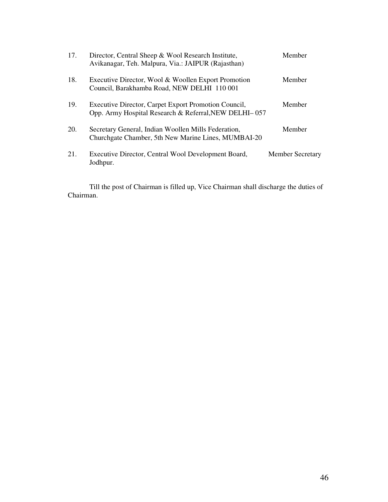| 17. | Director, Central Sheep & Wool Research Institute,<br>Avikanagar, Teh. Malpura, Via.: JAIPUR (Rajasthan)      | Member                  |
|-----|---------------------------------------------------------------------------------------------------------------|-------------------------|
| 18. | Executive Director, Wool & Woollen Export Promotion<br>Council, Barakhamba Road, NEW DELHI 110 001            | Member                  |
| 19. | Executive Director, Carpet Export Promotion Council,<br>Opp. Army Hospital Research & Referral, NEW DELHI-057 | Member                  |
| 20. | Secretary General, Indian Woollen Mills Federation,<br>Churchgate Chamber, 5th New Marine Lines, MUMBAI-20    | Member                  |
| 21. | Executive Director, Central Wool Development Board,<br>Jodhpur.                                               | <b>Member Secretary</b> |

 Till the post of Chairman is filled up, Vice Chairman shall discharge the duties of Chairman.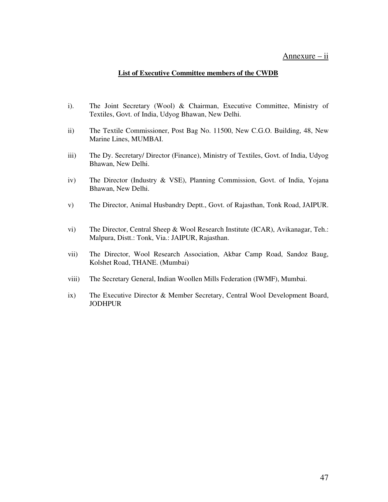#### Annexure – ii

#### **List of Executive Committee members of the CWDB**

- i). The Joint Secretary (Wool) & Chairman, Executive Committee, Ministry of Textiles, Govt. of India, Udyog Bhawan, New Delhi.
- ii) The Textile Commissioner, Post Bag No. 11500, New C.G.O. Building, 48, New Marine Lines, MUMBAI.
- iii) The Dy. Secretary/ Director (Finance), Ministry of Textiles, Govt. of India, Udyog Bhawan, New Delhi.
- iv) The Director (Industry & VSE), Planning Commission, Govt. of India, Yojana Bhawan, New Delhi.
- v) The Director, Animal Husbandry Deptt., Govt. of Rajasthan, Tonk Road, JAIPUR.
- vi) The Director, Central Sheep & Wool Research Institute (ICAR), Avikanagar, Teh.: Malpura, Distt.: Tonk, Via.: JAIPUR, Rajasthan.
- vii) The Director, Wool Research Association, Akbar Camp Road, Sandoz Baug, Kolshet Road, THANE. (Mumbai)
- viii) The Secretary General, Indian Woollen Mills Federation (IWMF), Mumbai.
- ix) The Executive Director & Member Secretary, Central Wool Development Board, **JODHPUR**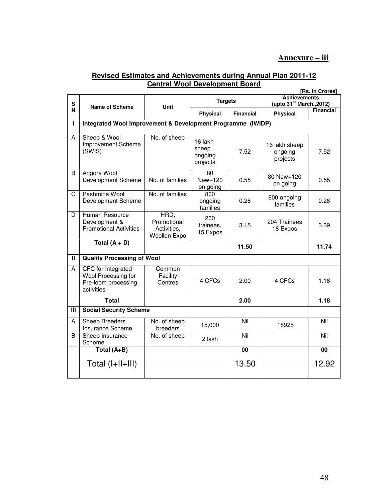#### **Revised Estimates and Achievements during Annual Plan 2011-12 Central Wool Development Board**

|                         | [Rs. In Crores]                                                                |                                                    |                                         |                  |                                                             |                  |  |  |
|-------------------------|--------------------------------------------------------------------------------|----------------------------------------------------|-----------------------------------------|------------------|-------------------------------------------------------------|------------------|--|--|
| S                       | <b>Name of Scheme</b>                                                          | <b>Unit</b>                                        | <b>Targets</b>                          |                  | <b>Achievements</b><br>(upto 31 <sup>st</sup> March., 2012) |                  |  |  |
| N                       |                                                                                |                                                    | <b>Physical</b>                         | <b>Financial</b> | <b>Physical</b>                                             | <b>Financial</b> |  |  |
| L                       | Integrated Wool Improvement & Development Programme (IWIDP)                    |                                                    |                                         |                  |                                                             |                  |  |  |
| A                       | Sheep & Wool<br>Improvement Scheme<br>(SWIS)                                   | No. of sheep                                       | 16 lakh<br>sheep<br>ongoing<br>projects | 7.52             | 16 lakh sheep<br>ongoing<br>projects                        | 7.52             |  |  |
| B                       | Angora Wool<br>Development Scheme                                              | No. of families                                    | 80<br>$New+120$<br>on going             | 0.55             | 80 New+120<br>on going                                      | 0.55             |  |  |
| $\overline{\mathrm{c}}$ | Pashmina Wool<br>Development Scheme                                            | No. of families                                    | 800<br>ongoing<br>families              | 0.28             | 800 ongoing<br>families                                     | 0.28             |  |  |
| D                       | Human Resource<br>Development &<br><b>Promotional Activities</b>               | HRD,<br>Promotional<br>Activities,<br>Woollen Expo | 200<br>trainees,<br>15 Expos            | 3.15             | 204 Trainees<br>18 Expos                                    | 3.39             |  |  |
|                         | Total $(A + D)$                                                                |                                                    |                                         | 11.50            |                                                             | 11.74            |  |  |
| Π                       | <b>Quality Processing of Wool</b>                                              |                                                    |                                         |                  |                                                             |                  |  |  |
| A                       | CFC for Integrated<br>Wool Processing for<br>Pre-loom processing<br>activities | Common<br>Facility<br>Centres                      | 4 CFCs                                  | 2.00             | 4 CFCs                                                      | 1.18             |  |  |
|                         | <b>Total</b>                                                                   |                                                    |                                         | 2.00             |                                                             | 1.18             |  |  |
| Ш                       | <b>Social Security Scheme</b>                                                  |                                                    |                                         |                  |                                                             |                  |  |  |
| A                       | <b>Sheep Breeders</b><br>Insurance Scheme                                      | No. of sheep<br>breeders                           | 15,000                                  | Nil              | 18925                                                       | Nil              |  |  |
| B                       | Sheep Insurance<br>Scheme                                                      | No. of sheep                                       | 2 lakh                                  | Nil              |                                                             | Nil              |  |  |
|                         | Total $(A+B)$                                                                  |                                                    |                                         | 00               |                                                             | 00               |  |  |
|                         | Total (I+II+III)                                                               |                                                    |                                         | 13.50            |                                                             | 12.92            |  |  |